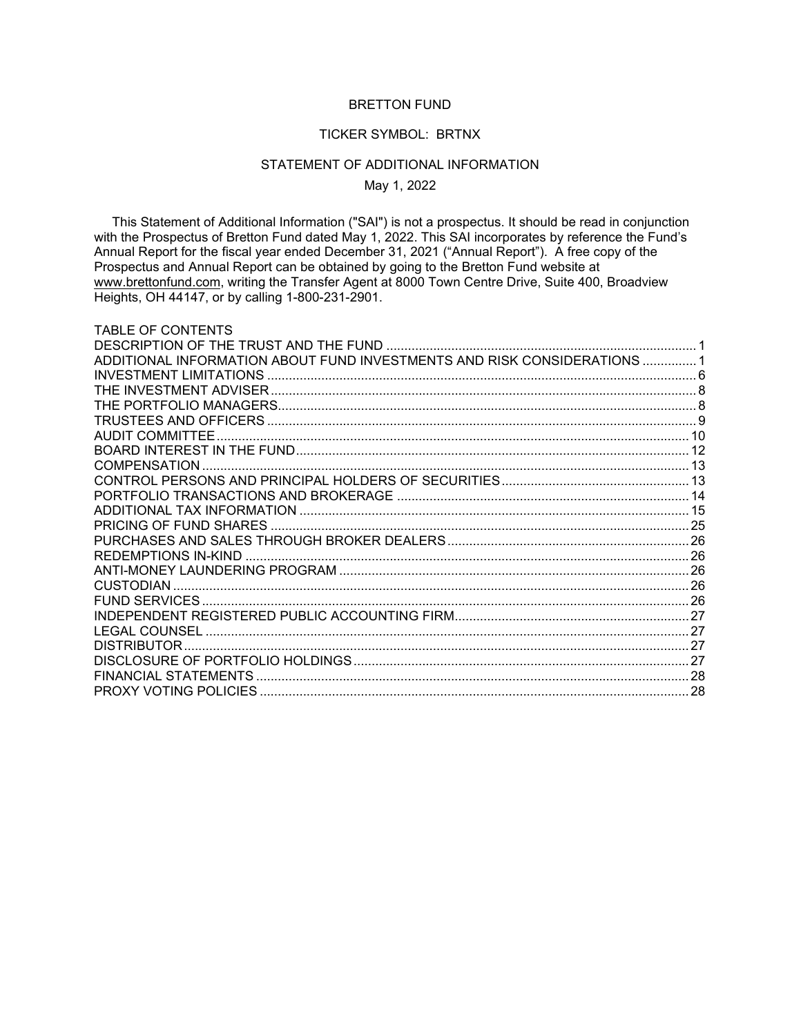# BRETTON FUND

#### TICKER SYMBOL: BRTNX

## STATEMENT OF ADDITIONAL INFORMATION

May 1, 2022

 This Statement of Additional Information ("SAI") is not a prospectus. It should be read in conjunction with the Prospectus of Bretton Fund dated May 1, 2022. This SAI incorporates by reference the Fund's Annual Report for the fiscal year ended December 31, 2021 ("Annual Report"). A free copy of the Prospectus and Annual Report can be obtained by going to the Bretton Fund website at www.brettonfund.com, writing the Transfer Agent at 8000 Town Centre Drive, Suite 400, Broadview Heights, OH 44147, or by calling 1-800-231-2901.

| TABLE OF CONTENTS                                                        |  |
|--------------------------------------------------------------------------|--|
|                                                                          |  |
| ADDITIONAL INFORMATION ABOUT FUND INVESTMENTS AND RISK CONSIDERATIONS  1 |  |
|                                                                          |  |
|                                                                          |  |
|                                                                          |  |
|                                                                          |  |
|                                                                          |  |
|                                                                          |  |
| COMPENSATION                                                             |  |
|                                                                          |  |
|                                                                          |  |
|                                                                          |  |
|                                                                          |  |
|                                                                          |  |
|                                                                          |  |
|                                                                          |  |
|                                                                          |  |
|                                                                          |  |
|                                                                          |  |
|                                                                          |  |
| <b>DISTRIBUTOR</b>                                                       |  |
|                                                                          |  |
|                                                                          |  |
|                                                                          |  |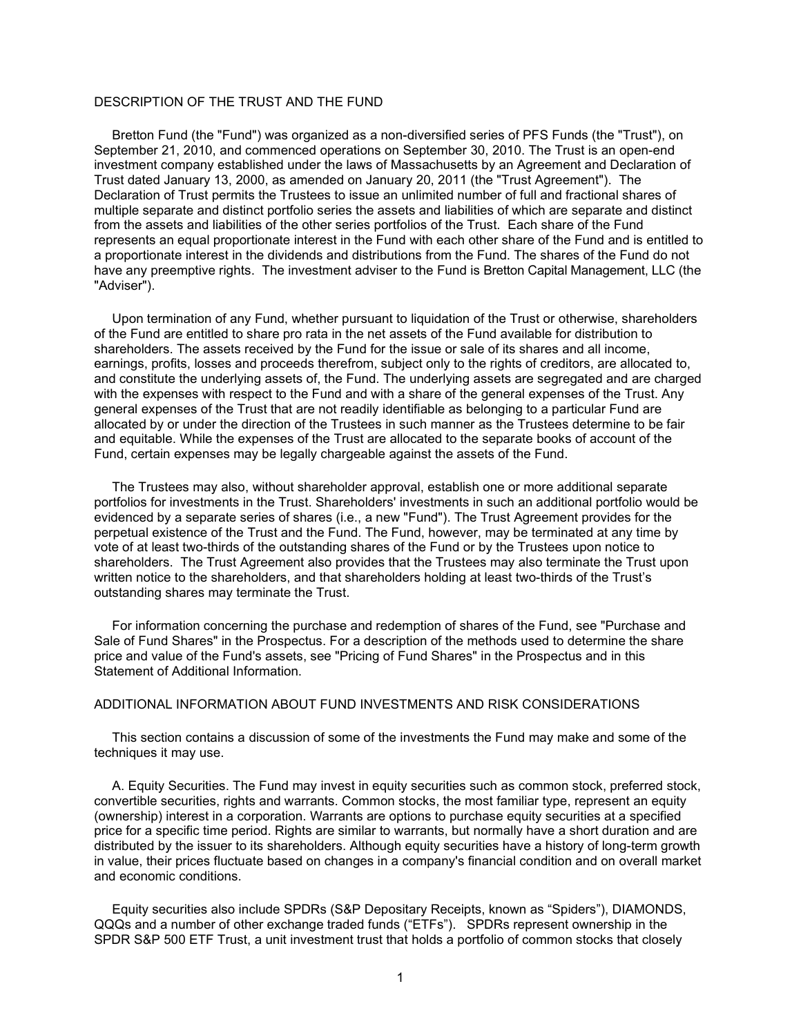# <span id="page-1-0"></span>DESCRIPTION OF THE TRUST AND THE FUND

 Bretton Fund (the "Fund") was organized as a non-diversified series of PFS Funds (the "Trust"), on September 21, 2010, and commenced operations on September 30, 2010. The Trust is an open-end investment company established under the laws of Massachusetts by an Agreement and Declaration of Trust dated January 13, 2000, as amended on January 20, 2011 (the "Trust Agreement"). The Declaration of Trust permits the Trustees to issue an unlimited number of full and fractional shares of multiple separate and distinct portfolio series the assets and liabilities of which are separate and distinct from the assets and liabilities of the other series portfolios of the Trust. Each share of the Fund represents an equal proportionate interest in the Fund with each other share of the Fund and is entitled to a proportionate interest in the dividends and distributions from the Fund. The shares of the Fund do not have any preemptive rights. The investment adviser to the Fund is Bretton Capital Management, LLC (the "Adviser").

 Upon termination of any Fund, whether pursuant to liquidation of the Trust or otherwise, shareholders of the Fund are entitled to share pro rata in the net assets of the Fund available for distribution to shareholders. The assets received by the Fund for the issue or sale of its shares and all income, earnings, profits, losses and proceeds therefrom, subject only to the rights of creditors, are allocated to, and constitute the underlying assets of, the Fund. The underlying assets are segregated and are charged with the expenses with respect to the Fund and with a share of the general expenses of the Trust. Any general expenses of the Trust that are not readily identifiable as belonging to a particular Fund are allocated by or under the direction of the Trustees in such manner as the Trustees determine to be fair and equitable. While the expenses of the Trust are allocated to the separate books of account of the Fund, certain expenses may be legally chargeable against the assets of the Fund.

 The Trustees may also, without shareholder approval, establish one or more additional separate portfolios for investments in the Trust. Shareholders' investments in such an additional portfolio would be evidenced by a separate series of shares (i.e., a new "Fund"). The Trust Agreement provides for the perpetual existence of the Trust and the Fund. The Fund, however, may be terminated at any time by vote of at least two-thirds of the outstanding shares of the Fund or by the Trustees upon notice to shareholders. The Trust Agreement also provides that the Trustees may also terminate the Trust upon written notice to the shareholders, and that shareholders holding at least two-thirds of the Trust's outstanding shares may terminate the Trust.

 For information concerning the purchase and redemption of shares of the Fund, see "Purchase and Sale of Fund Shares" in the Prospectus. For a description of the methods used to determine the share price and value of the Fund's assets, see "Pricing of Fund Shares" in the Prospectus and in this Statement of Additional Information.

# <span id="page-1-1"></span>ADDITIONAL INFORMATION ABOUT FUND INVESTMENTS AND RISK CONSIDERATIONS

 This section contains a discussion of some of the investments the Fund may make and some of the techniques it may use.

 A. Equity Securities. The Fund may invest in equity securities such as common stock, preferred stock, convertible securities, rights and warrants. Common stocks, the most familiar type, represent an equity (ownership) interest in a corporation. Warrants are options to purchase equity securities at a specified price for a specific time period. Rights are similar to warrants, but normally have a short duration and are distributed by the issuer to its shareholders. Although equity securities have a history of long-term growth in value, their prices fluctuate based on changes in a company's financial condition and on overall market and economic conditions.

 Equity securities also include SPDRs (S&P Depositary Receipts, known as "Spiders"), DIAMONDS, QQQs and a number of other exchange traded funds ("ETFs"). SPDRs represent ownership in the SPDR S&P 500 ETF Trust, a unit investment trust that holds a portfolio of common stocks that closely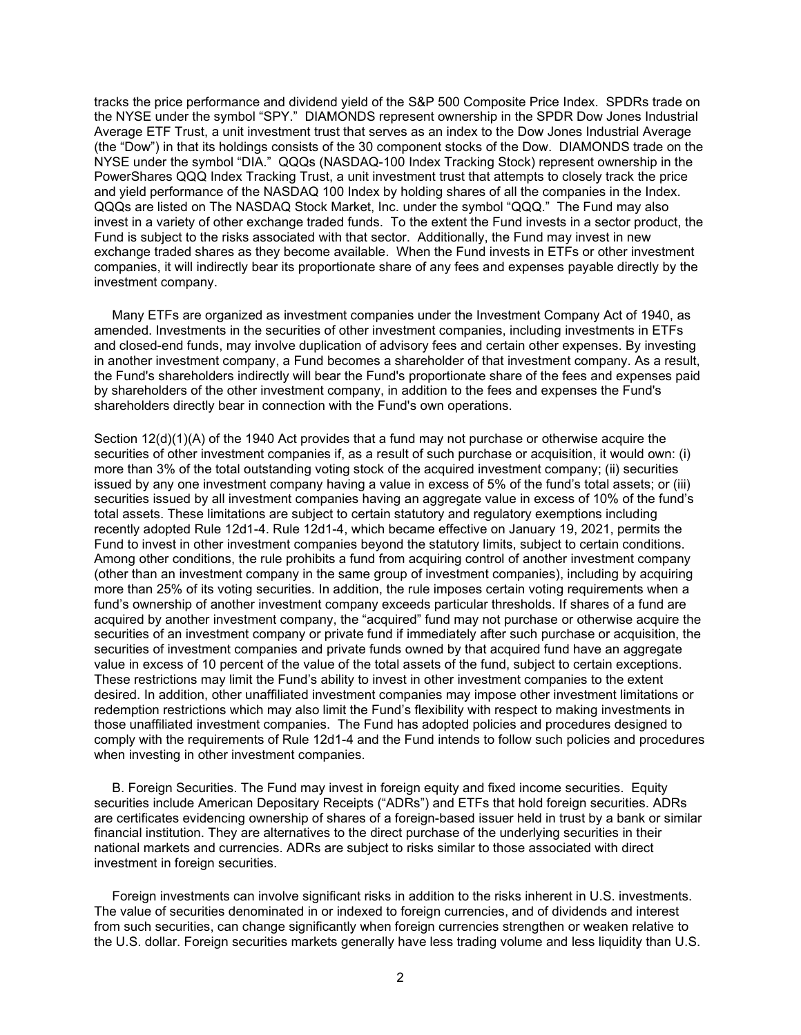tracks the price performance and dividend yield of the S&P 500 Composite Price Index. SPDRs trade on the NYSE under the symbol "SPY." DIAMONDS represent ownership in the SPDR Dow Jones Industrial Average ETF Trust, a unit investment trust that serves as an index to the Dow Jones Industrial Average (the "Dow") in that its holdings consists of the 30 component stocks of the Dow. DIAMONDS trade on the NYSE under the symbol "DIA." QQQs (NASDAQ-100 Index Tracking Stock) represent ownership in the PowerShares QQQ Index Tracking Trust, a unit investment trust that attempts to closely track the price and yield performance of the NASDAQ 100 Index by holding shares of all the companies in the Index. QQQs are listed on The NASDAQ Stock Market, Inc. under the symbol "QQQ." The Fund may also invest in a variety of other exchange traded funds. To the extent the Fund invests in a sector product, the Fund is subject to the risks associated with that sector. Additionally, the Fund may invest in new exchange traded shares as they become available. When the Fund invests in ETFs or other investment companies, it will indirectly bear its proportionate share of any fees and expenses payable directly by the investment company.

 Many ETFs are organized as investment companies under the Investment Company Act of 1940, as amended. Investments in the securities of other investment companies, including investments in ETFs and closed-end funds, may involve duplication of advisory fees and certain other expenses. By investing in another investment company, a Fund becomes a shareholder of that investment company. As a result, the Fund's shareholders indirectly will bear the Fund's proportionate share of the fees and expenses paid by shareholders of the other investment company, in addition to the fees and expenses the Fund's shareholders directly bear in connection with the Fund's own operations.

Section 12(d)(1)(A) of the 1940 Act provides that a fund may not purchase or otherwise acquire the securities of other investment companies if, as a result of such purchase or acquisition, it would own: (i) more than 3% of the total outstanding voting stock of the acquired investment company; (ii) securities issued by any one investment company having a value in excess of 5% of the fund's total assets; or (iii) securities issued by all investment companies having an aggregate value in excess of 10% of the fund's total assets. These limitations are subject to certain statutory and regulatory exemptions including recently adopted Rule 12d1-4. Rule 12d1-4, which became effective on January 19, 2021, permits the Fund to invest in other investment companies beyond the statutory limits, subject to certain conditions. Among other conditions, the rule prohibits a fund from acquiring control of another investment company (other than an investment company in the same group of investment companies), including by acquiring more than 25% of its voting securities. In addition, the rule imposes certain voting requirements when a fund's ownership of another investment company exceeds particular thresholds. If shares of a fund are acquired by another investment company, the "acquired" fund may not purchase or otherwise acquire the securities of an investment company or private fund if immediately after such purchase or acquisition, the securities of investment companies and private funds owned by that acquired fund have an aggregate value in excess of 10 percent of the value of the total assets of the fund, subject to certain exceptions. These restrictions may limit the Fund's ability to invest in other investment companies to the extent desired. In addition, other unaffiliated investment companies may impose other investment limitations or redemption restrictions which may also limit the Fund's flexibility with respect to making investments in those unaffiliated investment companies. The Fund has adopted policies and procedures designed to comply with the requirements of Rule 12d1-4 and the Fund intends to follow such policies and procedures when investing in other investment companies.

 B. Foreign Securities. The Fund may invest in foreign equity and fixed income securities. Equity securities include American Depositary Receipts ("ADRs") and ETFs that hold foreign securities. ADRs are certificates evidencing ownership of shares of a foreign-based issuer held in trust by a bank or similar financial institution. They are alternatives to the direct purchase of the underlying securities in their national markets and currencies. ADRs are subject to risks similar to those associated with direct investment in foreign securities.

 Foreign investments can involve significant risks in addition to the risks inherent in U.S. investments. The value of securities denominated in or indexed to foreign currencies, and of dividends and interest from such securities, can change significantly when foreign currencies strengthen or weaken relative to the U.S. dollar. Foreign securities markets generally have less trading volume and less liquidity than U.S.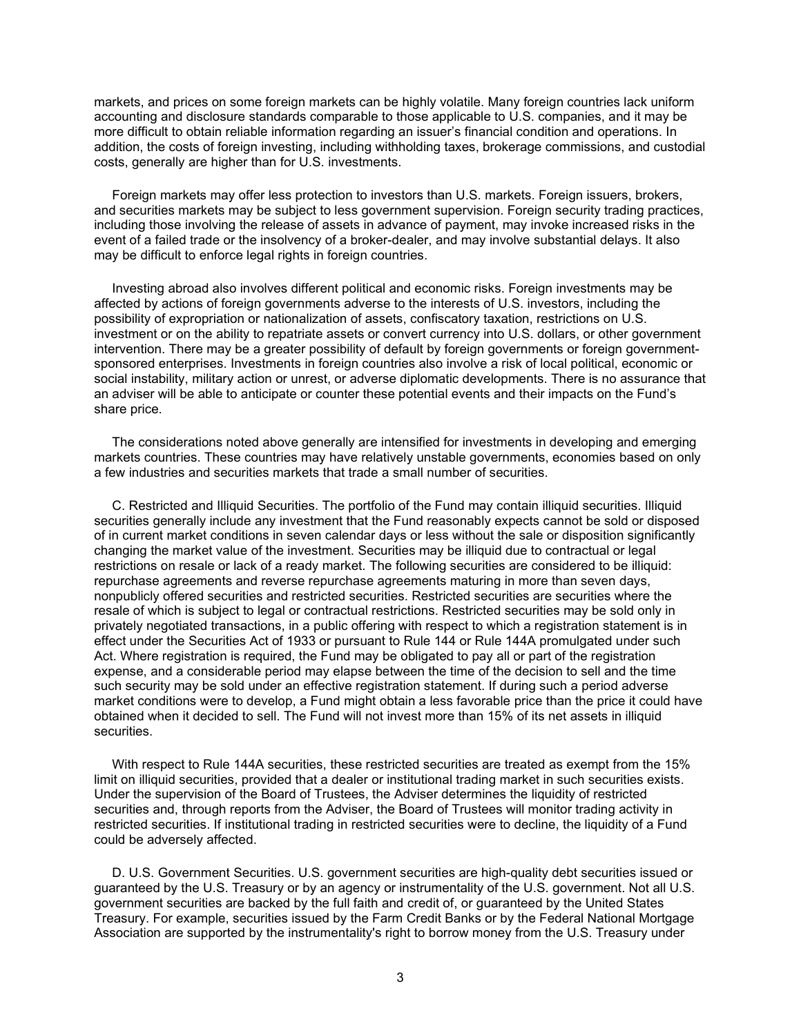markets, and prices on some foreign markets can be highly volatile. Many foreign countries lack uniform accounting and disclosure standards comparable to those applicable to U.S. companies, and it may be more difficult to obtain reliable information regarding an issuer's financial condition and operations. In addition, the costs of foreign investing, including withholding taxes, brokerage commissions, and custodial costs, generally are higher than for U.S. investments.

 Foreign markets may offer less protection to investors than U.S. markets. Foreign issuers, brokers, and securities markets may be subject to less government supervision. Foreign security trading practices, including those involving the release of assets in advance of payment, may invoke increased risks in the event of a failed trade or the insolvency of a broker-dealer, and may involve substantial delays. It also may be difficult to enforce legal rights in foreign countries.

 Investing abroad also involves different political and economic risks. Foreign investments may be affected by actions of foreign governments adverse to the interests of U.S. investors, including the possibility of expropriation or nationalization of assets, confiscatory taxation, restrictions on U.S. investment or on the ability to repatriate assets or convert currency into U.S. dollars, or other government intervention. There may be a greater possibility of default by foreign governments or foreign governmentsponsored enterprises. Investments in foreign countries also involve a risk of local political, economic or social instability, military action or unrest, or adverse diplomatic developments. There is no assurance that an adviser will be able to anticipate or counter these potential events and their impacts on the Fund's share price.

 The considerations noted above generally are intensified for investments in developing and emerging markets countries. These countries may have relatively unstable governments, economies based on only a few industries and securities markets that trade a small number of securities.

 C. Restricted and Illiquid Securities. The portfolio of the Fund may contain illiquid securities. Illiquid securities generally include any investment that the Fund reasonably expects cannot be sold or disposed of in current market conditions in seven calendar days or less without the sale or disposition significantly changing the market value of the investment. Securities may be illiquid due to contractual or legal restrictions on resale or lack of a ready market. The following securities are considered to be illiquid: repurchase agreements and reverse repurchase agreements maturing in more than seven days, nonpublicly offered securities and restricted securities. Restricted securities are securities where the resale of which is subject to legal or contractual restrictions. Restricted securities may be sold only in privately negotiated transactions, in a public offering with respect to which a registration statement is in effect under the Securities Act of 1933 or pursuant to Rule 144 or Rule 144A promulgated under such Act. Where registration is required, the Fund may be obligated to pay all or part of the registration expense, and a considerable period may elapse between the time of the decision to sell and the time such security may be sold under an effective registration statement. If during such a period adverse market conditions were to develop, a Fund might obtain a less favorable price than the price it could have obtained when it decided to sell. The Fund will not invest more than 15% of its net assets in illiquid securities.

 With respect to Rule 144A securities, these restricted securities are treated as exempt from the 15% limit on illiquid securities, provided that a dealer or institutional trading market in such securities exists. Under the supervision of the Board of Trustees, the Adviser determines the liquidity of restricted securities and, through reports from the Adviser, the Board of Trustees will monitor trading activity in restricted securities. If institutional trading in restricted securities were to decline, the liquidity of a Fund could be adversely affected.

 D. U.S. Government Securities. U.S. government securities are high-quality debt securities issued or guaranteed by the U.S. Treasury or by an agency or instrumentality of the U.S. government. Not all U.S. government securities are backed by the full faith and credit of, or guaranteed by the United States Treasury. For example, securities issued by the Farm Credit Banks or by the Federal National Mortgage Association are supported by the instrumentality's right to borrow money from the U.S. Treasury under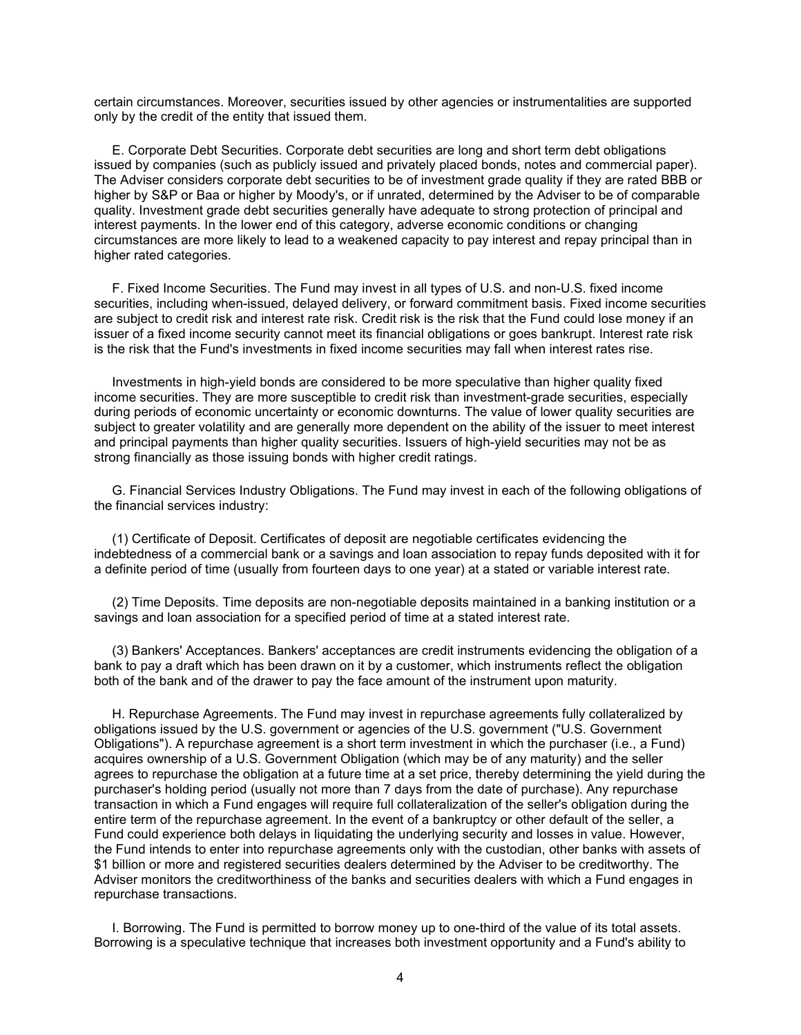certain circumstances. Moreover, securities issued by other agencies or instrumentalities are supported only by the credit of the entity that issued them.

 E. Corporate Debt Securities. Corporate debt securities are long and short term debt obligations issued by companies (such as publicly issued and privately placed bonds, notes and commercial paper). The Adviser considers corporate debt securities to be of investment grade quality if they are rated BBB or higher by S&P or Baa or higher by Moody's, or if unrated, determined by the Adviser to be of comparable quality. Investment grade debt securities generally have adequate to strong protection of principal and interest payments. In the lower end of this category, adverse economic conditions or changing circumstances are more likely to lead to a weakened capacity to pay interest and repay principal than in higher rated categories.

 F. Fixed Income Securities. The Fund may invest in all types of U.S. and non-U.S. fixed income securities, including when-issued, delayed delivery, or forward commitment basis. Fixed income securities are subject to credit risk and interest rate risk. Credit risk is the risk that the Fund could lose money if an issuer of a fixed income security cannot meet its financial obligations or goes bankrupt. Interest rate risk is the risk that the Fund's investments in fixed income securities may fall when interest rates rise.

 Investments in high-yield bonds are considered to be more speculative than higher quality fixed income securities. They are more susceptible to credit risk than investment-grade securities, especially during periods of economic uncertainty or economic downturns. The value of lower quality securities are subject to greater volatility and are generally more dependent on the ability of the issuer to meet interest and principal payments than higher quality securities. Issuers of high-yield securities may not be as strong financially as those issuing bonds with higher credit ratings.

 G. Financial Services Industry Obligations. The Fund may invest in each of the following obligations of the financial services industry:

 (1) Certificate of Deposit. Certificates of deposit are negotiable certificates evidencing the indebtedness of a commercial bank or a savings and loan association to repay funds deposited with it for a definite period of time (usually from fourteen days to one year) at a stated or variable interest rate.

 (2) Time Deposits. Time deposits are non-negotiable deposits maintained in a banking institution or a savings and loan association for a specified period of time at a stated interest rate.

 (3) Bankers' Acceptances. Bankers' acceptances are credit instruments evidencing the obligation of a bank to pay a draft which has been drawn on it by a customer, which instruments reflect the obligation both of the bank and of the drawer to pay the face amount of the instrument upon maturity.

 H. Repurchase Agreements. The Fund may invest in repurchase agreements fully collateralized by obligations issued by the U.S. government or agencies of the U.S. government ("U.S. Government Obligations"). A repurchase agreement is a short term investment in which the purchaser (i.e., a Fund) acquires ownership of a U.S. Government Obligation (which may be of any maturity) and the seller agrees to repurchase the obligation at a future time at a set price, thereby determining the yield during the purchaser's holding period (usually not more than 7 days from the date of purchase). Any repurchase transaction in which a Fund engages will require full collateralization of the seller's obligation during the entire term of the repurchase agreement. In the event of a bankruptcy or other default of the seller, a Fund could experience both delays in liquidating the underlying security and losses in value. However, the Fund intends to enter into repurchase agreements only with the custodian, other banks with assets of \$1 billion or more and registered securities dealers determined by the Adviser to be creditworthy. The Adviser monitors the creditworthiness of the banks and securities dealers with which a Fund engages in repurchase transactions.

 I. Borrowing. The Fund is permitted to borrow money up to one-third of the value of its total assets. Borrowing is a speculative technique that increases both investment opportunity and a Fund's ability to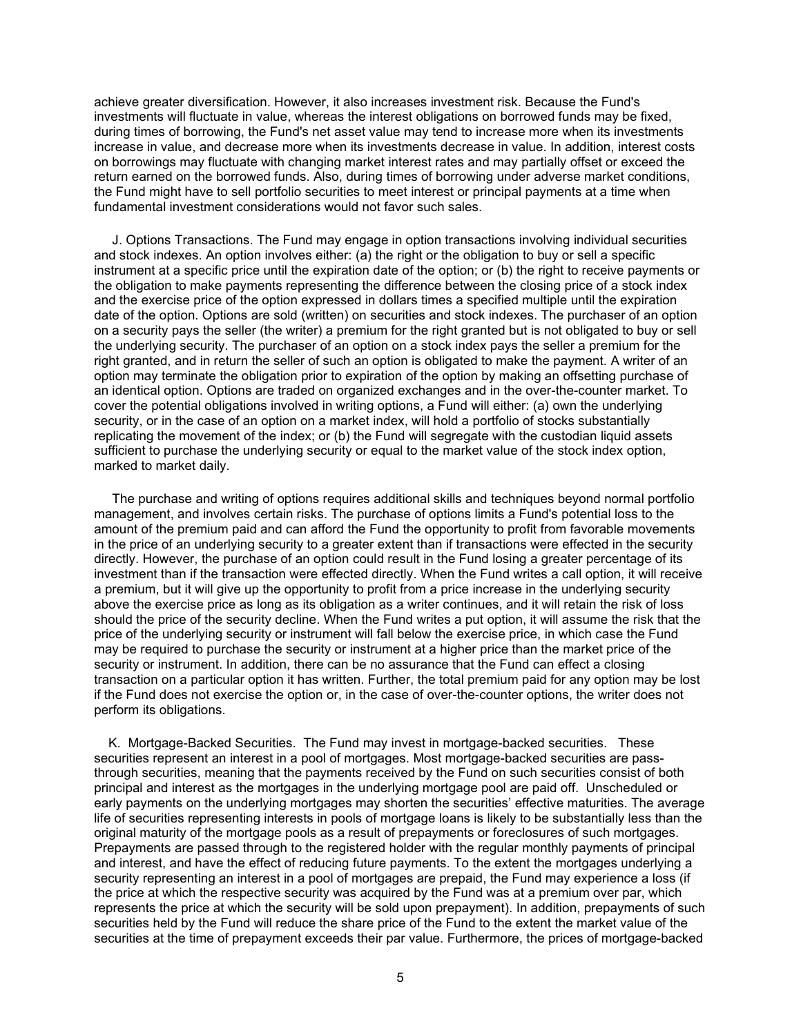achieve greater diversification. However, it also increases investment risk. Because the Fund's investments will fluctuate in value, whereas the interest obligations on borrowed funds may be fixed, during times of borrowing, the Fund's net asset value may tend to increase more when its investments increase in value, and decrease more when its investments decrease in value. In addition, interest costs on borrowings may fluctuate with changing market interest rates and may partially offset or exceed the return earned on the borrowed funds. Also, during times of borrowing under adverse market conditions, the Fund might have to sell portfolio securities to meet interest or principal payments at a time when fundamental investment considerations would not favor such sales.

 J. Options Transactions. The Fund may engage in option transactions involving individual securities and stock indexes. An option involves either: (a) the right or the obligation to buy or sell a specific instrument at a specific price until the expiration date of the option; or (b) the right to receive payments or the obligation to make payments representing the difference between the closing price of a stock index and the exercise price of the option expressed in dollars times a specified multiple until the expiration date of the option. Options are sold (written) on securities and stock indexes. The purchaser of an option on a security pays the seller (the writer) a premium for the right granted but is not obligated to buy or sell the underlying security. The purchaser of an option on a stock index pays the seller a premium for the right granted, and in return the seller of such an option is obligated to make the payment. A writer of an option may terminate the obligation prior to expiration of the option by making an offsetting purchase of an identical option. Options are traded on organized exchanges and in the over-the-counter market. To cover the potential obligations involved in writing options, a Fund will either: (a) own the underlying security, or in the case of an option on a market index, will hold a portfolio of stocks substantially replicating the movement of the index; or (b) the Fund will segregate with the custodian liquid assets sufficient to purchase the underlying security or equal to the market value of the stock index option, marked to market daily.

 The purchase and writing of options requires additional skills and techniques beyond normal portfolio management, and involves certain risks. The purchase of options limits a Fund's potential loss to the amount of the premium paid and can afford the Fund the opportunity to profit from favorable movements in the price of an underlying security to a greater extent than if transactions were effected in the security directly. However, the purchase of an option could result in the Fund losing a greater percentage of its investment than if the transaction were effected directly. When the Fund writes a call option, it will receive a premium, but it will give up the opportunity to profit from a price increase in the underlying security above the exercise price as long as its obligation as a writer continues, and it will retain the risk of loss should the price of the security decline. When the Fund writes a put option, it will assume the risk that the price of the underlying security or instrument will fall below the exercise price, in which case the Fund may be required to purchase the security or instrument at a higher price than the market price of the security or instrument. In addition, there can be no assurance that the Fund can effect a closing transaction on a particular option it has written. Further, the total premium paid for any option may be lost if the Fund does not exercise the option or, in the case of over-the-counter options, the writer does not perform its obligations.

 K. Mortgage-Backed Securities. The Fund may invest in mortgage-backed securities. These securities represent an interest in a pool of mortgages. Most mortgage-backed securities are passthrough securities, meaning that the payments received by the Fund on such securities consist of both principal and interest as the mortgages in the underlying mortgage pool are paid off. Unscheduled or early payments on the underlying mortgages may shorten the securities' effective maturities. The average life of securities representing interests in pools of mortgage loans is likely to be substantially less than the original maturity of the mortgage pools as a result of prepayments or foreclosures of such mortgages. Prepayments are passed through to the registered holder with the regular monthly payments of principal and interest, and have the effect of reducing future payments. To the extent the mortgages underlying a security representing an interest in a pool of mortgages are prepaid, the Fund may experience a loss (if the price at which the respective security was acquired by the Fund was at a premium over par, which represents the price at which the security will be sold upon prepayment). In addition, prepayments of such securities held by the Fund will reduce the share price of the Fund to the extent the market value of the securities at the time of prepayment exceeds their par value. Furthermore, the prices of mortgage-backed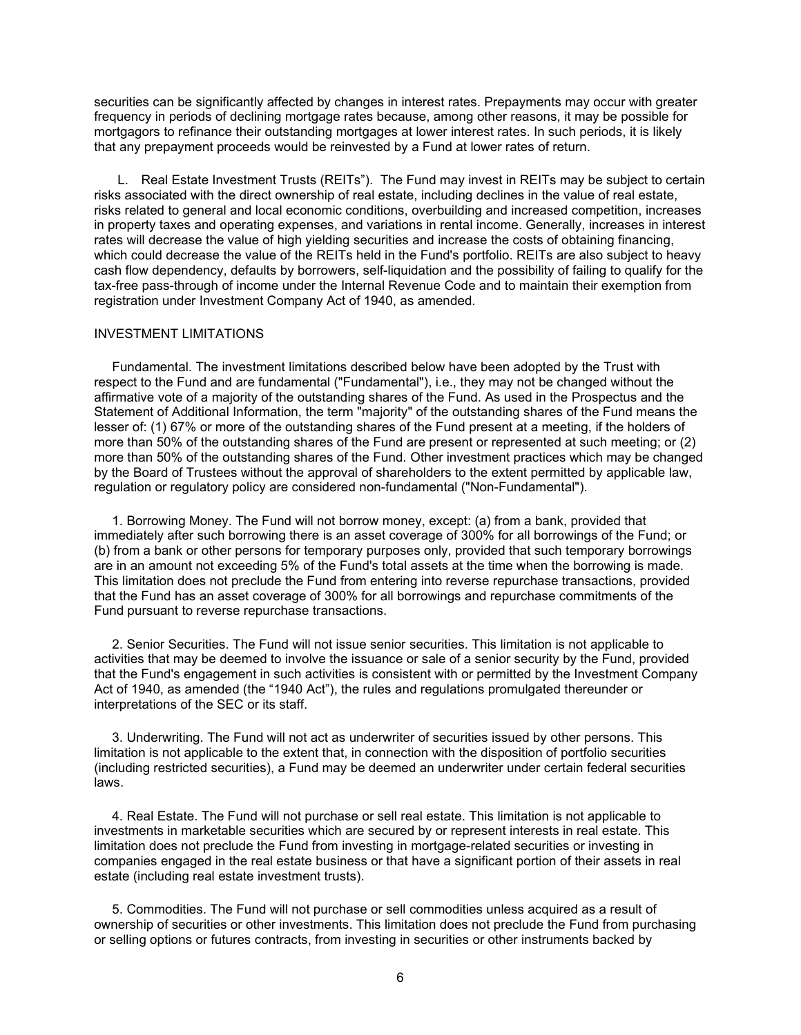securities can be significantly affected by changes in interest rates. Prepayments may occur with greater frequency in periods of declining mortgage rates because, among other reasons, it may be possible for mortgagors to refinance their outstanding mortgages at lower interest rates. In such periods, it is likely that any prepayment proceeds would be reinvested by a Fund at lower rates of return.

<span id="page-6-0"></span>L. Real Estate Investment Trusts (REITs"). The Fund may invest in REITs may be subject to certain risks associated with the direct ownership of real estate, including declines in the value of real estate, risks related to general and local economic conditions, overbuilding and increased competition, increases in property taxes and operating expenses, and variations in rental income. Generally, increases in interest rates will decrease the value of high yielding securities and increase the costs of obtaining financing, which could decrease the value of the REITs held in the Fund's portfolio. REITs are also subject to heavy cash flow dependency, defaults by borrowers, self-liquidation and the possibility of failing to qualify for the tax-free pass-through of income under the Internal Revenue Code and to maintain their exemption from registration under Investment Company Act of 1940, as amended.

## INVESTMENT LIMITATIONS

 Fundamental. The investment limitations described below have been adopted by the Trust with respect to the Fund and are fundamental ("Fundamental"), i.e., they may not be changed without the affirmative vote of a majority of the outstanding shares of the Fund. As used in the Prospectus and the Statement of Additional Information, the term "majority" of the outstanding shares of the Fund means the lesser of: (1) 67% or more of the outstanding shares of the Fund present at a meeting, if the holders of more than 50% of the outstanding shares of the Fund are present or represented at such meeting; or (2) more than 50% of the outstanding shares of the Fund. Other investment practices which may be changed by the Board of Trustees without the approval of shareholders to the extent permitted by applicable law, regulation or regulatory policy are considered non-fundamental ("Non-Fundamental").

 1. Borrowing Money. The Fund will not borrow money, except: (a) from a bank, provided that immediately after such borrowing there is an asset coverage of 300% for all borrowings of the Fund; or (b) from a bank or other persons for temporary purposes only, provided that such temporary borrowings are in an amount not exceeding 5% of the Fund's total assets at the time when the borrowing is made. This limitation does not preclude the Fund from entering into reverse repurchase transactions, provided that the Fund has an asset coverage of 300% for all borrowings and repurchase commitments of the Fund pursuant to reverse repurchase transactions.

 2. Senior Securities. The Fund will not issue senior securities. This limitation is not applicable to activities that may be deemed to involve the issuance or sale of a senior security by the Fund, provided that the Fund's engagement in such activities is consistent with or permitted by the Investment Company Act of 1940, as amended (the "1940 Act"), the rules and regulations promulgated thereunder or interpretations of the SEC or its staff.

 3. Underwriting. The Fund will not act as underwriter of securities issued by other persons. This limitation is not applicable to the extent that, in connection with the disposition of portfolio securities (including restricted securities), a Fund may be deemed an underwriter under certain federal securities laws.

 4. Real Estate. The Fund will not purchase or sell real estate. This limitation is not applicable to investments in marketable securities which are secured by or represent interests in real estate. This limitation does not preclude the Fund from investing in mortgage-related securities or investing in companies engaged in the real estate business or that have a significant portion of their assets in real estate (including real estate investment trusts).

 5. Commodities. The Fund will not purchase or sell commodities unless acquired as a result of ownership of securities or other investments. This limitation does not preclude the Fund from purchasing or selling options or futures contracts, from investing in securities or other instruments backed by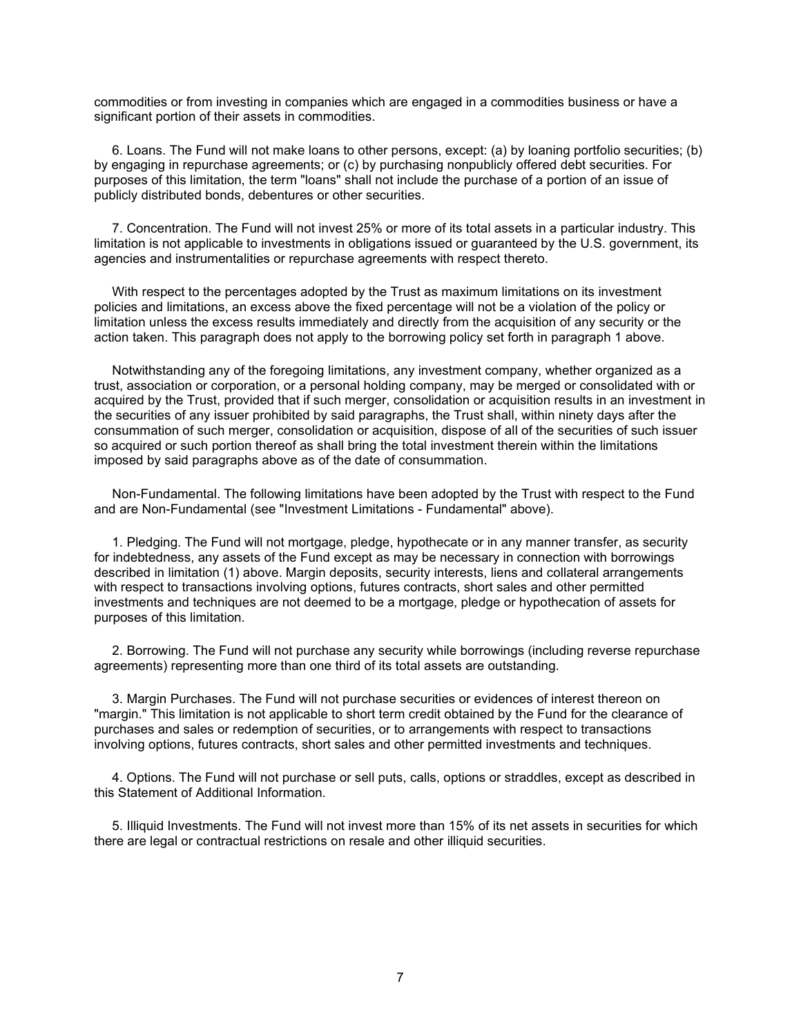commodities or from investing in companies which are engaged in a commodities business or have a significant portion of their assets in commodities.

 6. Loans. The Fund will not make loans to other persons, except: (a) by loaning portfolio securities; (b) by engaging in repurchase agreements; or (c) by purchasing nonpublicly offered debt securities. For purposes of this limitation, the term "loans" shall not include the purchase of a portion of an issue of publicly distributed bonds, debentures or other securities.

 7. Concentration. The Fund will not invest 25% or more of its total assets in a particular industry. This limitation is not applicable to investments in obligations issued or guaranteed by the U.S. government, its agencies and instrumentalities or repurchase agreements with respect thereto.

 With respect to the percentages adopted by the Trust as maximum limitations on its investment policies and limitations, an excess above the fixed percentage will not be a violation of the policy or limitation unless the excess results immediately and directly from the acquisition of any security or the action taken. This paragraph does not apply to the borrowing policy set forth in paragraph 1 above.

 Notwithstanding any of the foregoing limitations, any investment company, whether organized as a trust, association or corporation, or a personal holding company, may be merged or consolidated with or acquired by the Trust, provided that if such merger, consolidation or acquisition results in an investment in the securities of any issuer prohibited by said paragraphs, the Trust shall, within ninety days after the consummation of such merger, consolidation or acquisition, dispose of all of the securities of such issuer so acquired or such portion thereof as shall bring the total investment therein within the limitations imposed by said paragraphs above as of the date of consummation.

 Non-Fundamental. The following limitations have been adopted by the Trust with respect to the Fund and are Non-Fundamental (see "Investment Limitations - Fundamental" above).

 1. Pledging. The Fund will not mortgage, pledge, hypothecate or in any manner transfer, as security for indebtedness, any assets of the Fund except as may be necessary in connection with borrowings described in limitation (1) above. Margin deposits, security interests, liens and collateral arrangements with respect to transactions involving options, futures contracts, short sales and other permitted investments and techniques are not deemed to be a mortgage, pledge or hypothecation of assets for purposes of this limitation.

 2. Borrowing. The Fund will not purchase any security while borrowings (including reverse repurchase agreements) representing more than one third of its total assets are outstanding.

 3. Margin Purchases. The Fund will not purchase securities or evidences of interest thereon on "margin." This limitation is not applicable to short term credit obtained by the Fund for the clearance of purchases and sales or redemption of securities, or to arrangements with respect to transactions involving options, futures contracts, short sales and other permitted investments and techniques.

 4. Options. The Fund will not purchase or sell puts, calls, options or straddles, except as described in this Statement of Additional Information.

<span id="page-7-0"></span> 5. Illiquid Investments. The Fund will not invest more than 15% of its net assets in securities for which there are legal or contractual restrictions on resale and other illiquid securities.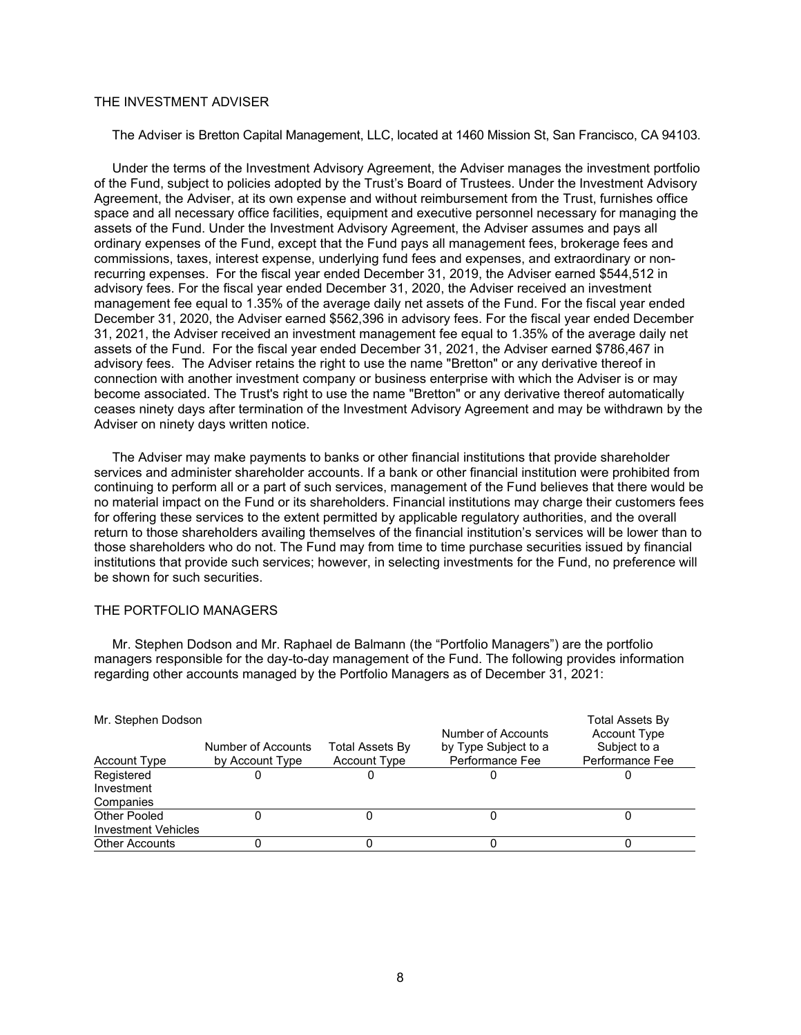# THE INVESTMENT ADVISER

The Adviser is Bretton Capital Management, LLC, located at 1460 Mission St, San Francisco, CA 94103.

 Under the terms of the Investment Advisory Agreement, the Adviser manages the investment portfolio of the Fund, subject to policies adopted by the Trust's Board of Trustees. Under the Investment Advisory Agreement, the Adviser, at its own expense and without reimbursement from the Trust, furnishes office space and all necessary office facilities, equipment and executive personnel necessary for managing the assets of the Fund. Under the Investment Advisory Agreement, the Adviser assumes and pays all ordinary expenses of the Fund, except that the Fund pays all management fees, brokerage fees and commissions, taxes, interest expense, underlying fund fees and expenses, and extraordinary or nonrecurring expenses. For the fiscal year ended December 31, 2019, the Adviser earned \$544,512 in advisory fees. For the fiscal year ended December 31, 2020, the Adviser received an investment management fee equal to 1.35% of the average daily net assets of the Fund. For the fiscal year ended December 31, 2020, the Adviser earned \$562,396 in advisory fees. For the fiscal year ended December 31, 2021, the Adviser received an investment management fee equal to 1.35% of the average daily net assets of the Fund. For the fiscal year ended December 31, 2021, the Adviser earned \$786,467 in advisory fees. The Adviser retains the right to use the name "Bretton" or any derivative thereof in connection with another investment company or business enterprise with which the Adviser is or may become associated. The Trust's right to use the name "Bretton" or any derivative thereof automatically ceases ninety days after termination of the Investment Advisory Agreement and may be withdrawn by the Adviser on ninety days written notice.

 The Adviser may make payments to banks or other financial institutions that provide shareholder services and administer shareholder accounts. If a bank or other financial institution were prohibited from continuing to perform all or a part of such services, management of the Fund believes that there would be no material impact on the Fund or its shareholders. Financial institutions may charge their customers fees for offering these services to the extent permitted by applicable regulatory authorities, and the overall return to those shareholders availing themselves of the financial institution's services will be lower than to those shareholders who do not. The Fund may from time to time purchase securities issued by financial institutions that provide such services; however, in selecting investments for the Fund, no preference will be shown for such securities.

# <span id="page-8-0"></span>THE PORTFOLIO MANAGERS

 Mr. Stephen Dodson and Mr. Raphael de Balmann (the "Portfolio Managers") are the portfolio managers responsible for the day-to-day management of the Fund. The following provides information regarding other accounts managed by the Portfolio Managers as of December 31, 2021:

| Mr. Stephen Dodson         |                    |                        | Number of Accounts   | Total Assets By<br><b>Account Type</b> |
|----------------------------|--------------------|------------------------|----------------------|----------------------------------------|
|                            | Number of Accounts | <b>Total Assets By</b> | by Type Subject to a | Subject to a                           |
| <b>Account Type</b>        | by Account Type    | <b>Account Type</b>    | Performance Fee      | Performance Fee                        |
| Registered                 |                    |                        |                      |                                        |
| Investment                 |                    |                        |                      |                                        |
| Companies                  |                    |                        |                      |                                        |
| Other Pooled               |                    |                        |                      |                                        |
| <b>Investment Vehicles</b> |                    |                        |                      |                                        |
| <b>Other Accounts</b>      |                    |                        |                      |                                        |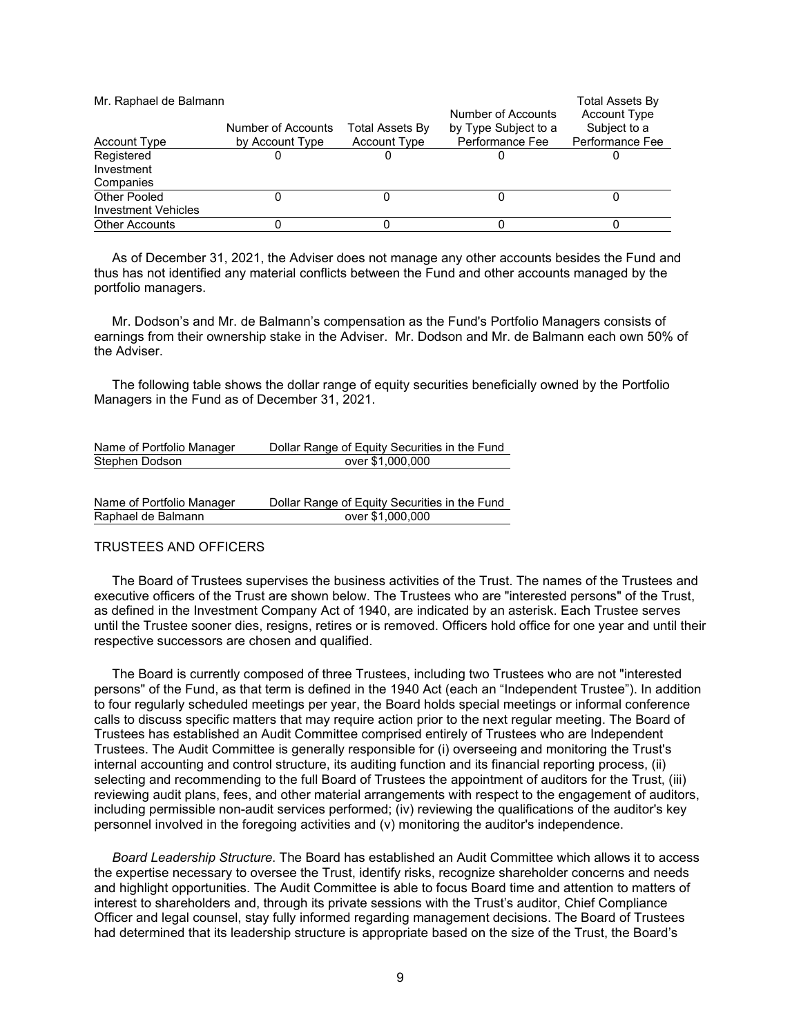| Mr. Raphael de Balmann     |                                       |                                               | Number of Accounts                      | Total Assets By<br><b>Account Type</b> |
|----------------------------|---------------------------------------|-----------------------------------------------|-----------------------------------------|----------------------------------------|
| <b>Account Type</b>        | Number of Accounts<br>by Account Type | <b>Total Assets By</b><br><b>Account Type</b> | by Type Subject to a<br>Performance Fee | Subject to a<br>Performance Fee        |
| Registered                 |                                       |                                               |                                         |                                        |
| Investment                 |                                       |                                               |                                         |                                        |
| Companies                  |                                       |                                               |                                         |                                        |
| Other Pooled               |                                       |                                               |                                         |                                        |
| <b>Investment Vehicles</b> |                                       |                                               |                                         |                                        |
| <b>Other Accounts</b>      |                                       |                                               |                                         |                                        |

 As of December 31, 2021, the Adviser does not manage any other accounts besides the Fund and thus has not identified any material conflicts between the Fund and other accounts managed by the portfolio managers.

 Mr. Dodson's and Mr. de Balmann's compensation as the Fund's Portfolio Managers consists of earnings from their ownership stake in the Adviser. Mr. Dodson and Mr. de Balmann each own 50% of the Adviser.

 The following table shows the dollar range of equity securities beneficially owned by the Portfolio Managers in the Fund as of December 31, 2021.

| Name of Portfolio Manager | Dollar Range of Equity Securities in the Fund |
|---------------------------|-----------------------------------------------|
| Stephen Dodson            | over \$1,000,000                              |
|                           |                                               |
|                           |                                               |
| Name of Dertfolio Manager | Deller Denge of Faulty Coourities in the Fund |

| Name of Portfolio Manager | Dollar Range of Equity Securities in the Fund |
|---------------------------|-----------------------------------------------|
| Raphael de Balmann        | over \$1,000,000                              |

# <span id="page-9-0"></span>TRUSTEES AND OFFICERS

 The Board of Trustees supervises the business activities of the Trust. The names of the Trustees and executive officers of the Trust are shown below. The Trustees who are "interested persons" of the Trust, as defined in the Investment Company Act of 1940, are indicated by an asterisk. Each Trustee serves until the Trustee sooner dies, resigns, retires or is removed. Officers hold office for one year and until their respective successors are chosen and qualified.

 The Board is currently composed of three Trustees, including two Trustees who are not "interested persons" of the Fund, as that term is defined in the 1940 Act (each an "Independent Trustee"). In addition to four regularly scheduled meetings per year, the Board holds special meetings or informal conference calls to discuss specific matters that may require action prior to the next regular meeting. The Board of Trustees has established an Audit Committee comprised entirely of Trustees who are Independent Trustees. The Audit Committee is generally responsible for (i) overseeing and monitoring the Trust's internal accounting and control structure, its auditing function and its financial reporting process, (ii) selecting and recommending to the full Board of Trustees the appointment of auditors for the Trust, (iii) reviewing audit plans, fees, and other material arrangements with respect to the engagement of auditors, including permissible non-audit services performed; (iv) reviewing the qualifications of the auditor's key personnel involved in the foregoing activities and (v) monitoring the auditor's independence.

 *Board Leadership Structure*. The Board has established an Audit Committee which allows it to access the expertise necessary to oversee the Trust, identify risks, recognize shareholder concerns and needs and highlight opportunities. The Audit Committee is able to focus Board time and attention to matters of interest to shareholders and, through its private sessions with the Trust's auditor, Chief Compliance Officer and legal counsel, stay fully informed regarding management decisions. The Board of Trustees had determined that its leadership structure is appropriate based on the size of the Trust, the Board's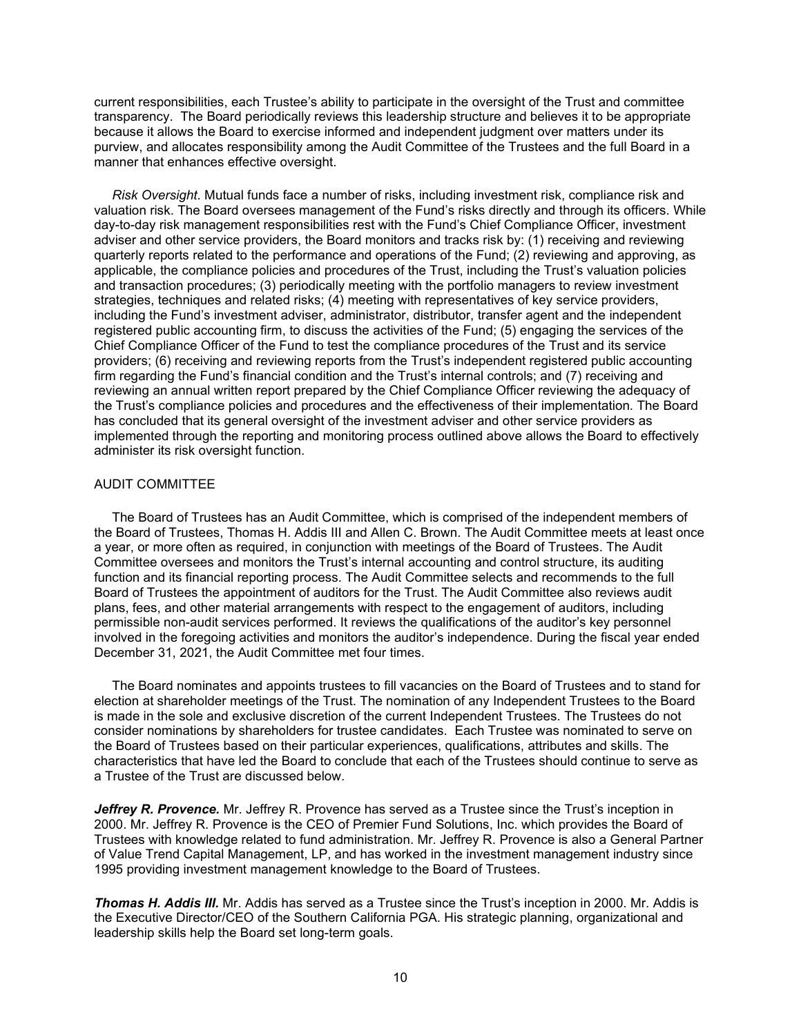current responsibilities, each Trustee's ability to participate in the oversight of the Trust and committee transparency. The Board periodically reviews this leadership structure and believes it to be appropriate because it allows the Board to exercise informed and independent judgment over matters under its purview, and allocates responsibility among the Audit Committee of the Trustees and the full Board in a manner that enhances effective oversight.

 *Risk Oversight*. Mutual funds face a number of risks, including investment risk, compliance risk and valuation risk. The Board oversees management of the Fund's risks directly and through its officers. While day-to-day risk management responsibilities rest with the Fund's Chief Compliance Officer, investment adviser and other service providers, the Board monitors and tracks risk by: (1) receiving and reviewing quarterly reports related to the performance and operations of the Fund; (2) reviewing and approving, as applicable, the compliance policies and procedures of the Trust, including the Trust's valuation policies and transaction procedures; (3) periodically meeting with the portfolio managers to review investment strategies, techniques and related risks; (4) meeting with representatives of key service providers, including the Fund's investment adviser, administrator, distributor, transfer agent and the independent registered public accounting firm, to discuss the activities of the Fund; (5) engaging the services of the Chief Compliance Officer of the Fund to test the compliance procedures of the Trust and its service providers; (6) receiving and reviewing reports from the Trust's independent registered public accounting firm regarding the Fund's financial condition and the Trust's internal controls; and (7) receiving and reviewing an annual written report prepared by the Chief Compliance Officer reviewing the adequacy of the Trust's compliance policies and procedures and the effectiveness of their implementation. The Board has concluded that its general oversight of the investment adviser and other service providers as implemented through the reporting and monitoring process outlined above allows the Board to effectively administer its risk oversight function.

# <span id="page-10-0"></span>AUDIT COMMITTEE

 The Board of Trustees has an Audit Committee, which is comprised of the independent members of the Board of Trustees, Thomas H. Addis III and Allen C. Brown. The Audit Committee meets at least once a year, or more often as required, in conjunction with meetings of the Board of Trustees. The Audit Committee oversees and monitors the Trust's internal accounting and control structure, its auditing function and its financial reporting process. The Audit Committee selects and recommends to the full Board of Trustees the appointment of auditors for the Trust. The Audit Committee also reviews audit plans, fees, and other material arrangements with respect to the engagement of auditors, including permissible non-audit services performed. It reviews the qualifications of the auditor's key personnel involved in the foregoing activities and monitors the auditor's independence. During the fiscal year ended December 31, 2021, the Audit Committee met four times.

 The Board nominates and appoints trustees to fill vacancies on the Board of Trustees and to stand for election at shareholder meetings of the Trust. The nomination of any Independent Trustees to the Board is made in the sole and exclusive discretion of the current Independent Trustees. The Trustees do not consider nominations by shareholders for trustee candidates. Each Trustee was nominated to serve on the Board of Trustees based on their particular experiences, qualifications, attributes and skills. The characteristics that have led the Board to conclude that each of the Trustees should continue to serve as a Trustee of the Trust are discussed below.

*Jeffrey R. Provence.* Mr. Jeffrey R. Provence has served as a Trustee since the Trust's inception in 2000. Mr. Jeffrey R. Provence is the CEO of Premier Fund Solutions, Inc. which provides the Board of Trustees with knowledge related to fund administration. Mr. Jeffrey R. Provence is also a General Partner of Value Trend Capital Management, LP, and has worked in the investment management industry since 1995 providing investment management knowledge to the Board of Trustees.

*Thomas H. Addis III.* Mr. Addis has served as a Trustee since the Trust's inception in 2000. Mr. Addis is the Executive Director/CEO of the Southern California PGA. His strategic planning, organizational and leadership skills help the Board set long-term goals.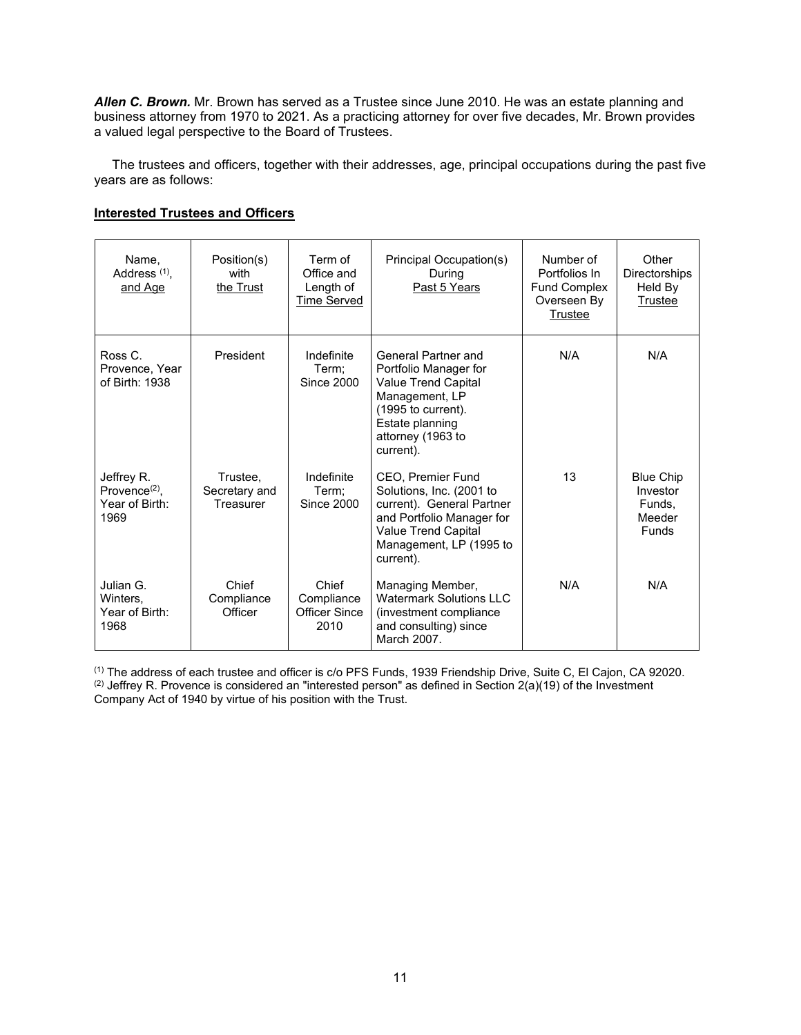*Allen C. Brown.* Mr. Brown has served as a Trustee since June 2010. He was an estate planning and business attorney from 1970 to 2021. As a practicing attorney for over five decades, Mr. Brown provides a valued legal perspective to the Board of Trustees.

 The trustees and officers, together with their addresses, age, principal occupations during the past five years are as follows:

|--|

| Name,<br>Address <sup>(1)</sup> ,<br>and Age             | Position(s)<br>with<br>the Trust       | Term of<br>Office and<br>Length of<br><b>Time Served</b> | Principal Occupation(s)<br>During<br>Past 5 Years                                                                                                                             | Number of<br>Portfolios In<br><b>Fund Complex</b><br>Overseen By<br>Trustee | Other<br><b>Directorships</b><br>Held By<br><b>Trustee</b>       |
|----------------------------------------------------------|----------------------------------------|----------------------------------------------------------|-------------------------------------------------------------------------------------------------------------------------------------------------------------------------------|-----------------------------------------------------------------------------|------------------------------------------------------------------|
| Ross C.<br>Provence, Year<br>of Birth: 1938              | President                              | Indefinite<br>Term:<br>Since 2000                        | General Partner and<br>Portfolio Manager for<br><b>Value Trend Capital</b><br>Management, LP<br>$(1995$ to current).<br>Estate planning<br>attorney (1963 to<br>current).     | N/A                                                                         | N/A                                                              |
| Jeffrey R.<br>Provence $(2)$ .<br>Year of Birth:<br>1969 | Trustee,<br>Secretary and<br>Treasurer | Indefinite<br>Term:<br>Since 2000                        | <b>CEO, Premier Fund</b><br>Solutions, Inc. (2001 to<br>current). General Partner<br>and Portfolio Manager for<br>Value Trend Capital<br>Management, LP (1995 to<br>current). | 13                                                                          | <b>Blue Chip</b><br>Investor<br>Funds.<br>Meeder<br><b>Funds</b> |
| Julian G.<br>Winters,<br>Year of Birth:<br>1968          | Chief<br>Compliance<br>Officer         | Chief<br>Compliance<br><b>Officer Since</b><br>2010      | Managing Member,<br><b>Watermark Solutions LLC</b><br>(investment compliance)<br>and consulting) since<br>March 2007.                                                         | N/A                                                                         | N/A                                                              |

(1) The address of each trustee and officer is c/o PFS Funds, 1939 Friendship Drive, Suite C, El Cajon, CA 92020. (2) Jeffrey R. Provence is considered an "interested person" as defined in Section  $2(a)(19)$  of the Investment Company Act of 1940 by virtue of his position with the Trust.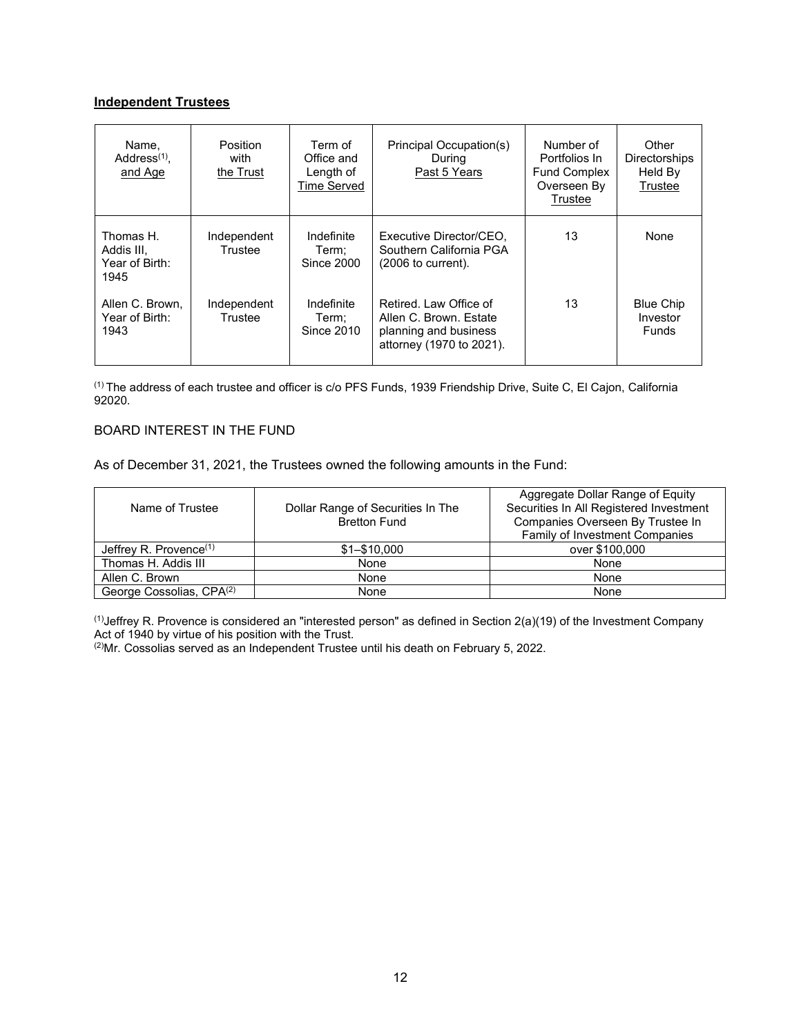# **Independent Trustees**

| Name,<br>Address $(1)$ .<br>and Age               | <b>Position</b><br>with<br>the Trust | Term of<br>Office and<br>Length of<br><b>Time Served</b> | Principal Occupation(s)<br>During<br>Past 5 Years                                                     | Number of<br>Portfolios In<br><b>Fund Complex</b><br>Overseen By<br>Trustee | Other<br><b>Directorships</b><br>Held By<br>Trustee |
|---------------------------------------------------|--------------------------------------|----------------------------------------------------------|-------------------------------------------------------------------------------------------------------|-----------------------------------------------------------------------------|-----------------------------------------------------|
| Thomas H.<br>Addis III,<br>Year of Birth:<br>1945 | Independent<br>Trustee               | Indefinite<br>Term:<br>Since 2000                        | Executive Director/CEO.<br>Southern California PGA<br>$(2006$ to current).                            | 13                                                                          | None                                                |
| Allen C. Brown.<br>Year of Birth:<br>1943         | Independent<br>Trustee               | Indefinite<br>Term:<br>Since 2010                        | Retired, Law Office of<br>Allen C. Brown, Estate<br>planning and business<br>attorney (1970 to 2021). | 13                                                                          | <b>Blue Chip</b><br>Investor<br><b>Funds</b>        |

(1) The address of each trustee and officer is c/o PFS Funds, 1939 Friendship Drive, Suite C, El Cajon, California 92020.

# <span id="page-12-0"></span>BOARD INTEREST IN THE FUND

As of December 31, 2021, the Trustees owned the following amounts in the Fund:

| Name of Trustee                      | Dollar Range of Securities In The<br><b>Bretton Fund</b> | Aggregate Dollar Range of Equity<br>Securities In All Registered Investment<br>Companies Overseen By Trustee In |
|--------------------------------------|----------------------------------------------------------|-----------------------------------------------------------------------------------------------------------------|
|                                      |                                                          | Family of Investment Companies                                                                                  |
| Jeffrey R. Provence $(1)$            | $$1 - $10,000$                                           | over \$100,000                                                                                                  |
| Thomas H. Addis III                  | None                                                     | None                                                                                                            |
| Allen C. Brown                       | None                                                     | None                                                                                                            |
| George Cossolias, CPA <sup>(2)</sup> | None                                                     | None                                                                                                            |

 $^{(1)}$ Jeffrey R. Provence is considered an "interested person" as defined in Section 2(a)(19) of the Investment Company Act of 1940 by virtue of his position with the Trust.

(2)Mr. Cossolias served as an Independent Trustee until his death on February 5, 2022.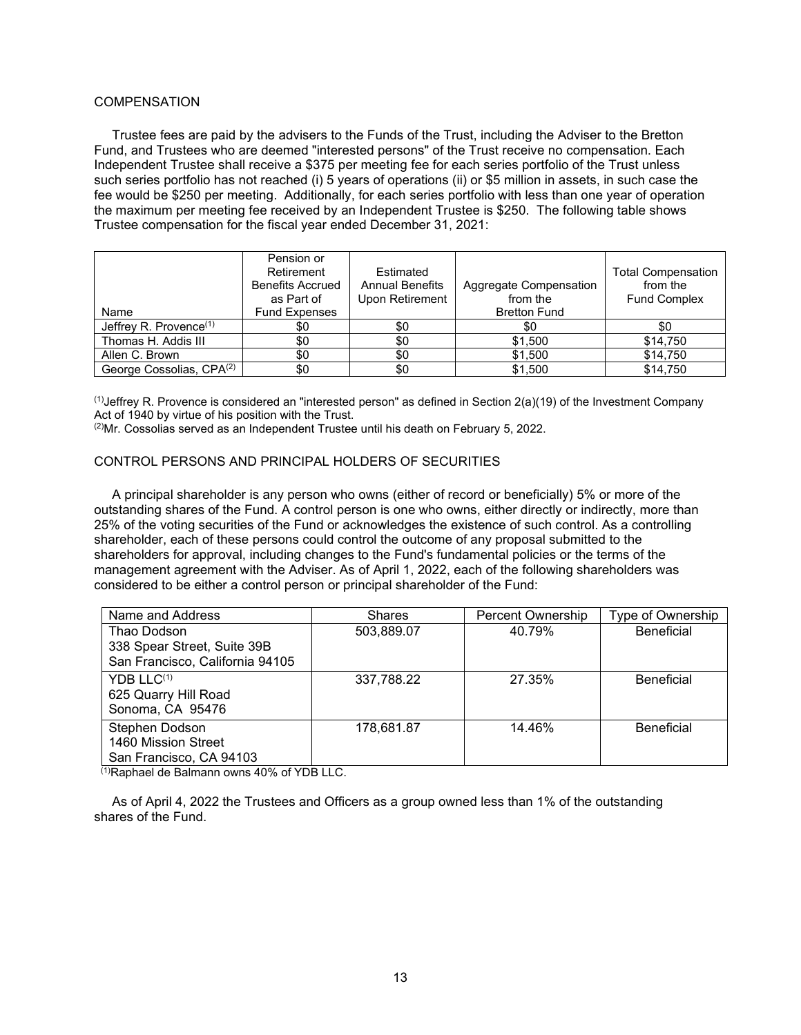# <span id="page-13-0"></span>**COMPENSATION**

 Trustee fees are paid by the advisers to the Funds of the Trust, including the Adviser to the Bretton Fund, and Trustees who are deemed "interested persons" of the Trust receive no compensation. Each Independent Trustee shall receive a \$375 per meeting fee for each series portfolio of the Trust unless such series portfolio has not reached (i) 5 years of operations (ii) or \$5 million in assets, in such case the fee would be \$250 per meeting. Additionally, for each series portfolio with less than one year of operation the maximum per meeting fee received by an Independent Trustee is \$250. The following table shows Trustee compensation for the fiscal year ended December 31, 2021:

|                                      | Pension or<br>Retirement<br><b>Benefits Accrued</b><br>as Part of | Estimated<br><b>Annual Benefits</b><br>Upon Retirement | Aggregate Compensation<br>from the | <b>Total Compensation</b><br>from the<br><b>Fund Complex</b> |
|--------------------------------------|-------------------------------------------------------------------|--------------------------------------------------------|------------------------------------|--------------------------------------------------------------|
| Name                                 | <b>Fund Expenses</b>                                              |                                                        | <b>Bretton Fund</b>                |                                                              |
| Jeffrey R. Provence $(1)$            | \$0                                                               | \$0                                                    | \$0                                | \$0                                                          |
| Thomas H. Addis III                  | \$0                                                               | \$0                                                    | \$1,500                            | \$14,750                                                     |
| Allen C. Brown                       | \$0                                                               | \$0                                                    | \$1,500                            | \$14,750                                                     |
| George Cossolias, CPA <sup>(2)</sup> | \$0                                                               | \$0                                                    | \$1,500                            | \$14,750                                                     |

<sup>(1)</sup>Jeffrey R. Provence is considered an "interested person" as defined in Section  $2(a)(19)$  of the Investment Company Act of 1940 by virtue of his position with the Trust.

 $(2)$ Mr. Cossolias served as an Independent Trustee until his death on February 5, 2022.

# <span id="page-13-1"></span>CONTROL PERSONS AND PRINCIPAL HOLDERS OF SECURITIES

 A principal shareholder is any person who owns (either of record or beneficially) 5% or more of the outstanding shares of the Fund. A control person is one who owns, either directly or indirectly, more than 25% of the voting securities of the Fund or acknowledges the existence of such control. As a controlling shareholder, each of these persons could control the outcome of any proposal submitted to the shareholders for approval, including changes to the Fund's fundamental policies or the terms of the management agreement with the Adviser. As of April 1, 2022, each of the following shareholders was considered to be either a control person or principal shareholder of the Fund:

| Name and Address                                                              | <b>Shares</b> | <b>Percent Ownership</b> | Type of Ownership |
|-------------------------------------------------------------------------------|---------------|--------------------------|-------------------|
| Thao Dodson<br>338 Spear Street, Suite 39B<br>San Francisco, California 94105 | 503,889.07    | 40.79%                   | <b>Beneficial</b> |
| YDB LLC <sup>(1)</sup><br>625 Quarry Hill Road<br>Sonoma, CA 95476            | 337,788.22    | 27.35%                   | <b>Beneficial</b> |
| Stephen Dodson<br>1460 Mission Street<br>San Francisco, CA 94103              | 178,681.87    | 14.46%                   | <b>Beneficial</b> |

(1)Raphael de Balmann owns 40% of YDB LLC.

 As of April 4, 2022 the Trustees and Officers as a group owned less than 1% of the outstanding shares of the Fund.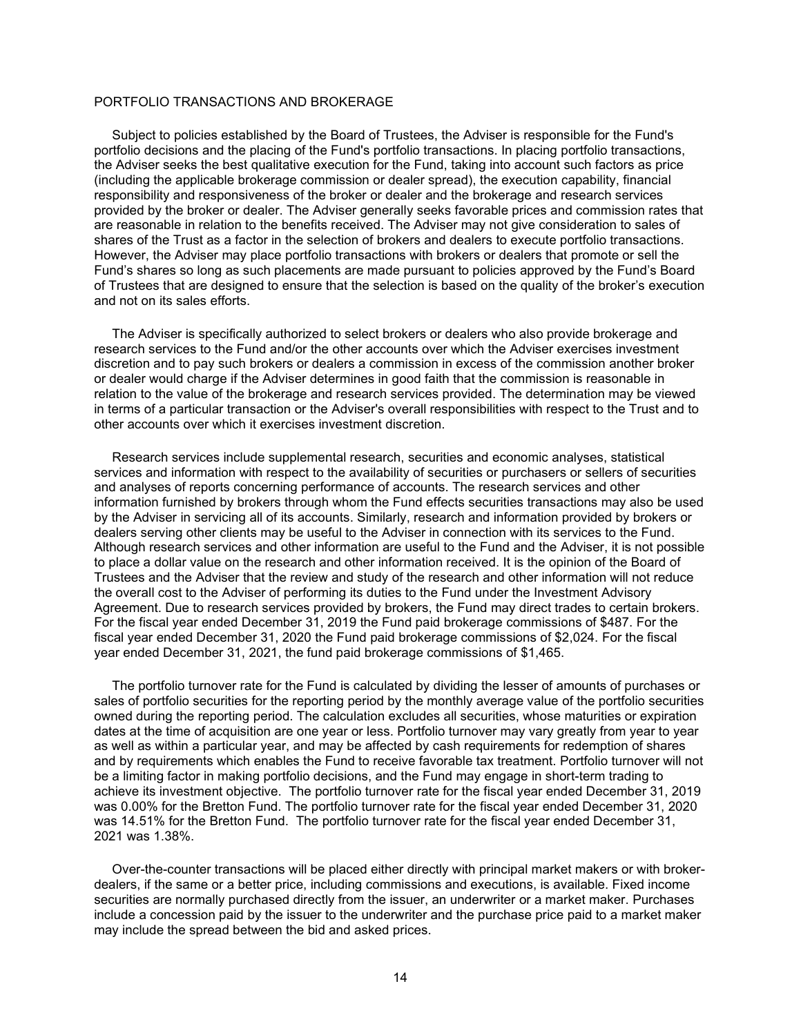# <span id="page-14-0"></span>PORTFOLIO TRANSACTIONS AND BROKERAGE

 Subject to policies established by the Board of Trustees, the Adviser is responsible for the Fund's portfolio decisions and the placing of the Fund's portfolio transactions. In placing portfolio transactions, the Adviser seeks the best qualitative execution for the Fund, taking into account such factors as price (including the applicable brokerage commission or dealer spread), the execution capability, financial responsibility and responsiveness of the broker or dealer and the brokerage and research services provided by the broker or dealer. The Adviser generally seeks favorable prices and commission rates that are reasonable in relation to the benefits received. The Adviser may not give consideration to sales of shares of the Trust as a factor in the selection of brokers and dealers to execute portfolio transactions. However, the Adviser may place portfolio transactions with brokers or dealers that promote or sell the Fund's shares so long as such placements are made pursuant to policies approved by the Fund's Board of Trustees that are designed to ensure that the selection is based on the quality of the broker's execution and not on its sales efforts.

 The Adviser is specifically authorized to select brokers or dealers who also provide brokerage and research services to the Fund and/or the other accounts over which the Adviser exercises investment discretion and to pay such brokers or dealers a commission in excess of the commission another broker or dealer would charge if the Adviser determines in good faith that the commission is reasonable in relation to the value of the brokerage and research services provided. The determination may be viewed in terms of a particular transaction or the Adviser's overall responsibilities with respect to the Trust and to other accounts over which it exercises investment discretion.

 Research services include supplemental research, securities and economic analyses, statistical services and information with respect to the availability of securities or purchasers or sellers of securities and analyses of reports concerning performance of accounts. The research services and other information furnished by brokers through whom the Fund effects securities transactions may also be used by the Adviser in servicing all of its accounts. Similarly, research and information provided by brokers or dealers serving other clients may be useful to the Adviser in connection with its services to the Fund. Although research services and other information are useful to the Fund and the Adviser, it is not possible to place a dollar value on the research and other information received. It is the opinion of the Board of Trustees and the Adviser that the review and study of the research and other information will not reduce the overall cost to the Adviser of performing its duties to the Fund under the Investment Advisory Agreement. Due to research services provided by brokers, the Fund may direct trades to certain brokers. For the fiscal year ended December 31, 2019 the Fund paid brokerage commissions of \$487. For the fiscal year ended December 31, 2020 the Fund paid brokerage commissions of \$2,024. For the fiscal year ended December 31, 2021, the fund paid brokerage commissions of \$1,465.

 The portfolio turnover rate for the Fund is calculated by dividing the lesser of amounts of purchases or sales of portfolio securities for the reporting period by the monthly average value of the portfolio securities owned during the reporting period. The calculation excludes all securities, whose maturities or expiration dates at the time of acquisition are one year or less. Portfolio turnover may vary greatly from year to year as well as within a particular year, and may be affected by cash requirements for redemption of shares and by requirements which enables the Fund to receive favorable tax treatment. Portfolio turnover will not be a limiting factor in making portfolio decisions, and the Fund may engage in short-term trading to achieve its investment objective. The portfolio turnover rate for the fiscal year ended December 31, 2019 was 0.00% for the Bretton Fund. The portfolio turnover rate for the fiscal year ended December 31, 2020 was 14.51% for the Bretton Fund. The portfolio turnover rate for the fiscal year ended December 31, 2021 was 1.38%.

 Over-the-counter transactions will be placed either directly with principal market makers or with brokerdealers, if the same or a better price, including commissions and executions, is available. Fixed income securities are normally purchased directly from the issuer, an underwriter or a market maker. Purchases include a concession paid by the issuer to the underwriter and the purchase price paid to a market maker may include the spread between the bid and asked prices.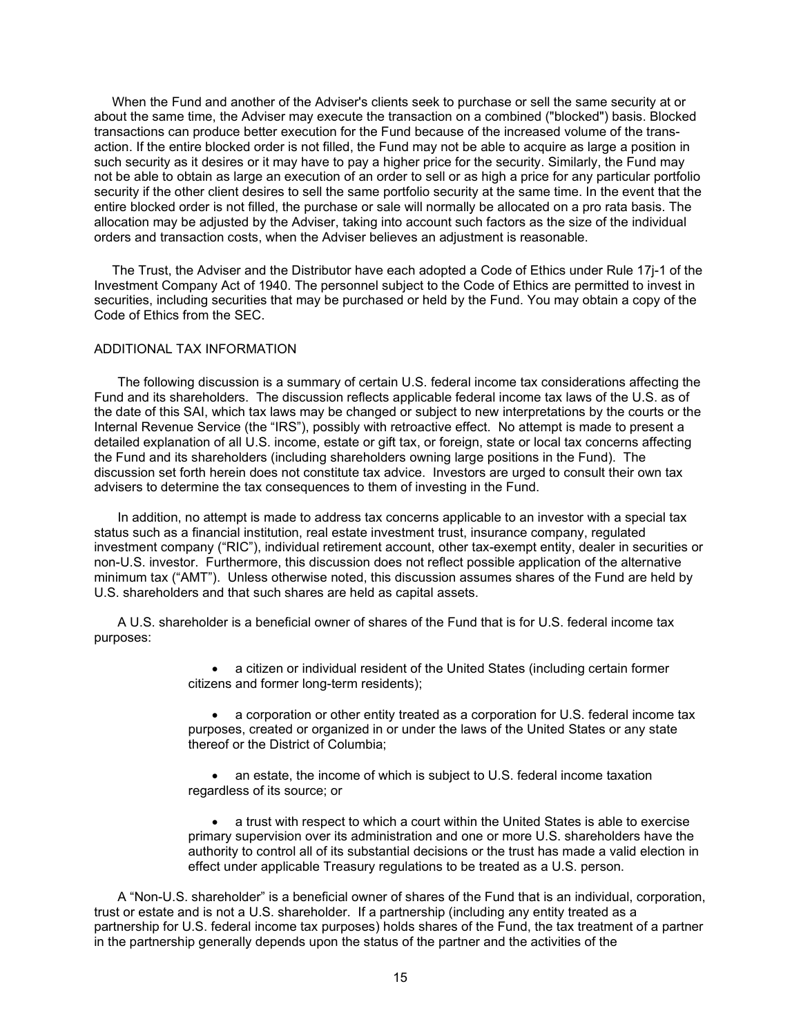When the Fund and another of the Adviser's clients seek to purchase or sell the same security at or about the same time, the Adviser may execute the transaction on a combined ("blocked") basis. Blocked transactions can produce better execution for the Fund because of the increased volume of the transaction. If the entire blocked order is not filled, the Fund may not be able to acquire as large a position in such security as it desires or it may have to pay a higher price for the security. Similarly, the Fund may not be able to obtain as large an execution of an order to sell or as high a price for any particular portfolio security if the other client desires to sell the same portfolio security at the same time. In the event that the entire blocked order is not filled, the purchase or sale will normally be allocated on a pro rata basis. The allocation may be adjusted by the Adviser, taking into account such factors as the size of the individual orders and transaction costs, when the Adviser believes an adjustment is reasonable.

 The Trust, the Adviser and the Distributor have each adopted a Code of Ethics under Rule 17j-1 of the Investment Company Act of 1940. The personnel subject to the Code of Ethics are permitted to invest in securities, including securities that may be purchased or held by the Fund. You may obtain a copy of the Code of Ethics from the SEC.

### <span id="page-15-0"></span>ADDITIONAL TAX INFORMATION

The following discussion is a summary of certain U.S. federal income tax considerations affecting the Fund and its shareholders. The discussion reflects applicable federal income tax laws of the U.S. as of the date of this SAI, which tax laws may be changed or subject to new interpretations by the courts or the Internal Revenue Service (the "IRS"), possibly with retroactive effect. No attempt is made to present a detailed explanation of all U.S. income, estate or gift tax, or foreign, state or local tax concerns affecting the Fund and its shareholders (including shareholders owning large positions in the Fund). The discussion set forth herein does not constitute tax advice. Investors are urged to consult their own tax advisers to determine the tax consequences to them of investing in the Fund.

In addition, no attempt is made to address tax concerns applicable to an investor with a special tax status such as a financial institution, real estate investment trust, insurance company, regulated investment company ("RIC"), individual retirement account, other tax-exempt entity, dealer in securities or non-U.S. investor. Furthermore, this discussion does not reflect possible application of the alternative minimum tax ("AMT"). Unless otherwise noted, this discussion assumes shares of the Fund are held by U.S. shareholders and that such shares are held as capital assets.

A U.S. shareholder is a beneficial owner of shares of the Fund that is for U.S. federal income tax purposes:

> • a citizen or individual resident of the United States (including certain former citizens and former long-term residents);

• a corporation or other entity treated as a corporation for U.S. federal income tax purposes, created or organized in or under the laws of the United States or any state thereof or the District of Columbia;

• an estate, the income of which is subject to U.S. federal income taxation regardless of its source; or

• a trust with respect to which a court within the United States is able to exercise primary supervision over its administration and one or more U.S. shareholders have the authority to control all of its substantial decisions or the trust has made a valid election in effect under applicable Treasury regulations to be treated as a U.S. person.

A "Non-U.S. shareholder" is a beneficial owner of shares of the Fund that is an individual, corporation, trust or estate and is not a U.S. shareholder. If a partnership (including any entity treated as a partnership for U.S. federal income tax purposes) holds shares of the Fund, the tax treatment of a partner in the partnership generally depends upon the status of the partner and the activities of the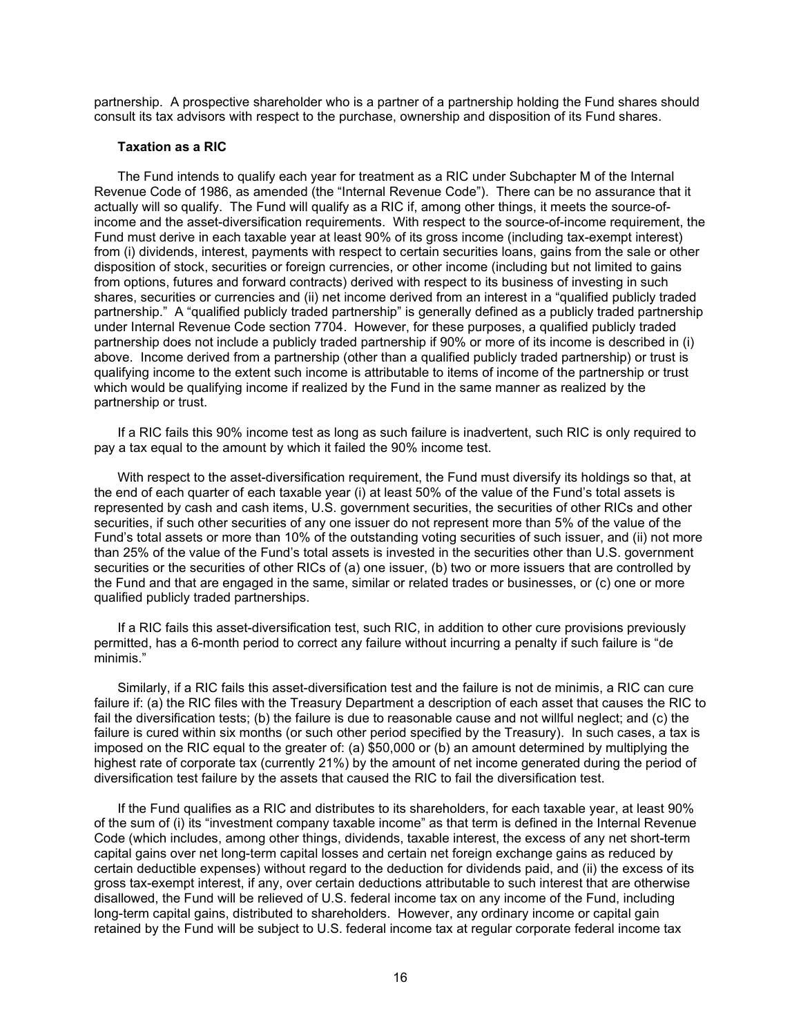partnership. A prospective shareholder who is a partner of a partnership holding the Fund shares should consult its tax advisors with respect to the purchase, ownership and disposition of its Fund shares.

### **Taxation as a RIC**

The Fund intends to qualify each year for treatment as a RIC under Subchapter M of the Internal Revenue Code of 1986, as amended (the "Internal Revenue Code"). There can be no assurance that it actually will so qualify. The Fund will qualify as a RIC if, among other things, it meets the source-ofincome and the asset-diversification requirements. With respect to the source-of-income requirement, the Fund must derive in each taxable year at least 90% of its gross income (including tax-exempt interest) from (i) dividends, interest, payments with respect to certain securities loans, gains from the sale or other disposition of stock, securities or foreign currencies, or other income (including but not limited to gains from options, futures and forward contracts) derived with respect to its business of investing in such shares, securities or currencies and (ii) net income derived from an interest in a "qualified publicly traded partnership." A "qualified publicly traded partnership" is generally defined as a publicly traded partnership under Internal Revenue Code section 7704. However, for these purposes, a qualified publicly traded partnership does not include a publicly traded partnership if 90% or more of its income is described in (i) above. Income derived from a partnership (other than a qualified publicly traded partnership) or trust is qualifying income to the extent such income is attributable to items of income of the partnership or trust which would be qualifying income if realized by the Fund in the same manner as realized by the partnership or trust.

If a RIC fails this 90% income test as long as such failure is inadvertent, such RIC is only required to pay a tax equal to the amount by which it failed the 90% income test.

With respect to the asset-diversification requirement, the Fund must diversify its holdings so that, at the end of each quarter of each taxable year (i) at least 50% of the value of the Fund's total assets is represented by cash and cash items, U.S. government securities, the securities of other RICs and other securities, if such other securities of any one issuer do not represent more than 5% of the value of the Fund's total assets or more than 10% of the outstanding voting securities of such issuer, and (ii) not more than 25% of the value of the Fund's total assets is invested in the securities other than U.S. government securities or the securities of other RICs of (a) one issuer, (b) two or more issuers that are controlled by the Fund and that are engaged in the same, similar or related trades or businesses, or (c) one or more qualified publicly traded partnerships.

If a RIC fails this asset-diversification test, such RIC, in addition to other cure provisions previously permitted, has a 6-month period to correct any failure without incurring a penalty if such failure is "de minimis."

Similarly, if a RIC fails this asset-diversification test and the failure is not de minimis, a RIC can cure failure if: (a) the RIC files with the Treasury Department a description of each asset that causes the RIC to fail the diversification tests; (b) the failure is due to reasonable cause and not willful neglect; and (c) the failure is cured within six months (or such other period specified by the Treasury). In such cases, a tax is imposed on the RIC equal to the greater of: (a) \$50,000 or (b) an amount determined by multiplying the highest rate of corporate tax (currently 21%) by the amount of net income generated during the period of diversification test failure by the assets that caused the RIC to fail the diversification test.

If the Fund qualifies as a RIC and distributes to its shareholders, for each taxable year, at least 90% of the sum of (i) its "investment company taxable income" as that term is defined in the Internal Revenue Code (which includes, among other things, dividends, taxable interest, the excess of any net short-term capital gains over net long-term capital losses and certain net foreign exchange gains as reduced by certain deductible expenses) without regard to the deduction for dividends paid, and (ii) the excess of its gross tax-exempt interest, if any, over certain deductions attributable to such interest that are otherwise disallowed, the Fund will be relieved of U.S. federal income tax on any income of the Fund, including long-term capital gains, distributed to shareholders. However, any ordinary income or capital gain retained by the Fund will be subject to U.S. federal income tax at regular corporate federal income tax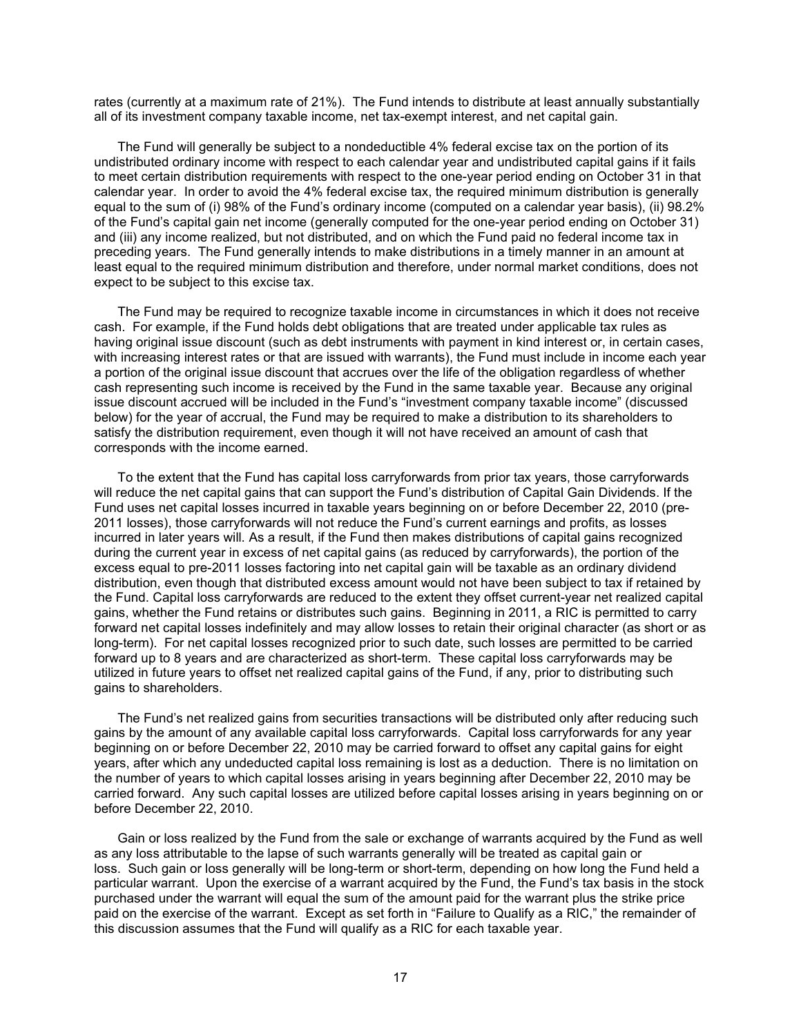rates (currently at a maximum rate of 21%). The Fund intends to distribute at least annually substantially all of its investment company taxable income, net tax-exempt interest, and net capital gain.

The Fund will generally be subject to a nondeductible 4% federal excise tax on the portion of its undistributed ordinary income with respect to each calendar year and undistributed capital gains if it fails to meet certain distribution requirements with respect to the one-year period ending on October 31 in that calendar year. In order to avoid the 4% federal excise tax, the required minimum distribution is generally equal to the sum of (i) 98% of the Fund's ordinary income (computed on a calendar year basis), (ii) 98.2% of the Fund's capital gain net income (generally computed for the one-year period ending on October 31) and (iii) any income realized, but not distributed, and on which the Fund paid no federal income tax in preceding years. The Fund generally intends to make distributions in a timely manner in an amount at least equal to the required minimum distribution and therefore, under normal market conditions, does not expect to be subject to this excise tax.

The Fund may be required to recognize taxable income in circumstances in which it does not receive cash. For example, if the Fund holds debt obligations that are treated under applicable tax rules as having original issue discount (such as debt instruments with payment in kind interest or, in certain cases, with increasing interest rates or that are issued with warrants), the Fund must include in income each year a portion of the original issue discount that accrues over the life of the obligation regardless of whether cash representing such income is received by the Fund in the same taxable year. Because any original issue discount accrued will be included in the Fund's "investment company taxable income" (discussed below) for the year of accrual, the Fund may be required to make a distribution to its shareholders to satisfy the distribution requirement, even though it will not have received an amount of cash that corresponds with the income earned.

To the extent that the Fund has capital loss carryforwards from prior tax years, those carryforwards will reduce the net capital gains that can support the Fund's distribution of Capital Gain Dividends. If the Fund uses net capital losses incurred in taxable years beginning on or before December 22, 2010 (pre-2011 losses), those carryforwards will not reduce the Fund's current earnings and profits, as losses incurred in later years will. As a result, if the Fund then makes distributions of capital gains recognized during the current year in excess of net capital gains (as reduced by carryforwards), the portion of the excess equal to pre-2011 losses factoring into net capital gain will be taxable as an ordinary dividend distribution, even though that distributed excess amount would not have been subject to tax if retained by the Fund. Capital loss carryforwards are reduced to the extent they offset current-year net realized capital gains, whether the Fund retains or distributes such gains. Beginning in 2011, a RIC is permitted to carry forward net capital losses indefinitely and may allow losses to retain their original character (as short or as long-term). For net capital losses recognized prior to such date, such losses are permitted to be carried forward up to 8 years and are characterized as short-term. These capital loss carryforwards may be utilized in future years to offset net realized capital gains of the Fund, if any, prior to distributing such gains to shareholders.

The Fund's net realized gains from securities transactions will be distributed only after reducing such gains by the amount of any available capital loss carryforwards. Capital loss carryforwards for any year beginning on or before December 22, 2010 may be carried forward to offset any capital gains for eight years, after which any undeducted capital loss remaining is lost as a deduction. There is no limitation on the number of years to which capital losses arising in years beginning after December 22, 2010 may be carried forward. Any such capital losses are utilized before capital losses arising in years beginning on or before December 22, 2010.

Gain or loss realized by the Fund from the sale or exchange of warrants acquired by the Fund as well as any loss attributable to the lapse of such warrants generally will be treated as capital gain or loss. Such gain or loss generally will be long-term or short-term, depending on how long the Fund held a particular warrant. Upon the exercise of a warrant acquired by the Fund, the Fund's tax basis in the stock purchased under the warrant will equal the sum of the amount paid for the warrant plus the strike price paid on the exercise of the warrant. Except as set forth in "Failure to Qualify as a RIC," the remainder of this discussion assumes that the Fund will qualify as a RIC for each taxable year.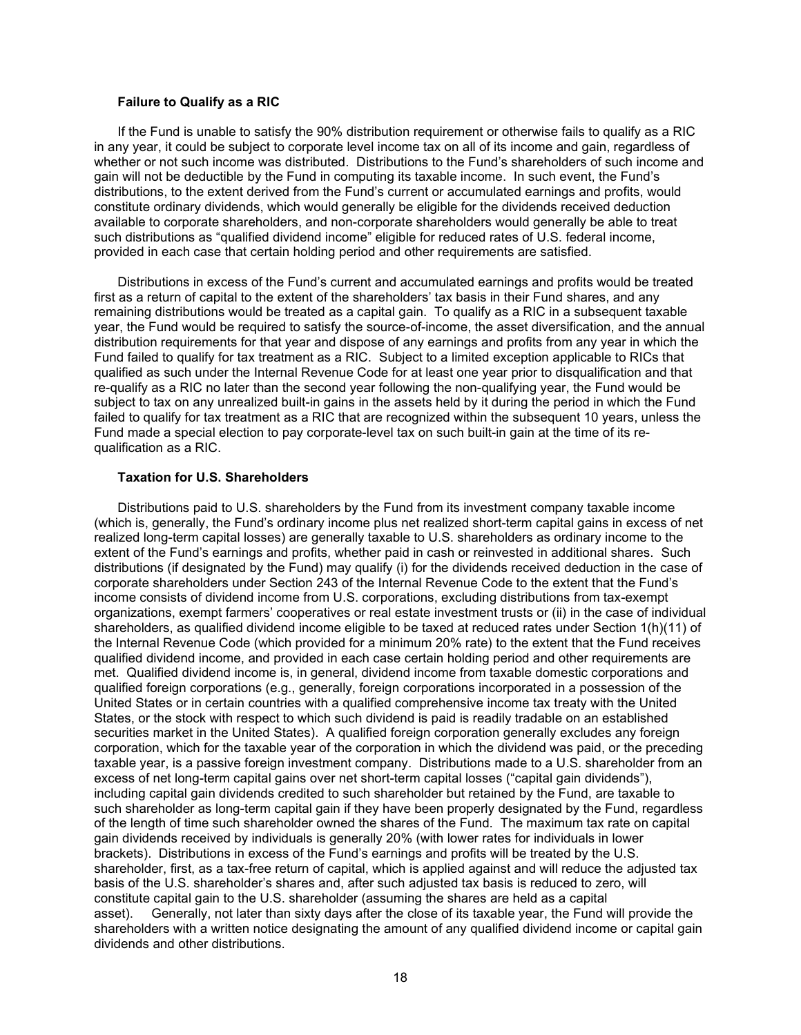### **Failure to Qualify as a RIC**

If the Fund is unable to satisfy the 90% distribution requirement or otherwise fails to qualify as a RIC in any year, it could be subject to corporate level income tax on all of its income and gain, regardless of whether or not such income was distributed. Distributions to the Fund's shareholders of such income and gain will not be deductible by the Fund in computing its taxable income. In such event, the Fund's distributions, to the extent derived from the Fund's current or accumulated earnings and profits, would constitute ordinary dividends, which would generally be eligible for the dividends received deduction available to corporate shareholders, and non-corporate shareholders would generally be able to treat such distributions as "qualified dividend income" eligible for reduced rates of U.S. federal income, provided in each case that certain holding period and other requirements are satisfied.

Distributions in excess of the Fund's current and accumulated earnings and profits would be treated first as a return of capital to the extent of the shareholders' tax basis in their Fund shares, and any remaining distributions would be treated as a capital gain. To qualify as a RIC in a subsequent taxable year, the Fund would be required to satisfy the source-of-income, the asset diversification, and the annual distribution requirements for that year and dispose of any earnings and profits from any year in which the Fund failed to qualify for tax treatment as a RIC. Subject to a limited exception applicable to RICs that qualified as such under the Internal Revenue Code for at least one year prior to disqualification and that re-qualify as a RIC no later than the second year following the non-qualifying year, the Fund would be subject to tax on any unrealized built-in gains in the assets held by it during the period in which the Fund failed to qualify for tax treatment as a RIC that are recognized within the subsequent 10 years, unless the Fund made a special election to pay corporate-level tax on such built-in gain at the time of its requalification as a RIC.

### **Taxation for U.S. Shareholders**

Distributions paid to U.S. shareholders by the Fund from its investment company taxable income (which is, generally, the Fund's ordinary income plus net realized short-term capital gains in excess of net realized long-term capital losses) are generally taxable to U.S. shareholders as ordinary income to the extent of the Fund's earnings and profits, whether paid in cash or reinvested in additional shares. Such distributions (if designated by the Fund) may qualify (i) for the dividends received deduction in the case of corporate shareholders under Section 243 of the Internal Revenue Code to the extent that the Fund's income consists of dividend income from U.S. corporations, excluding distributions from tax-exempt organizations, exempt farmers' cooperatives or real estate investment trusts or (ii) in the case of individual shareholders, as qualified dividend income eligible to be taxed at reduced rates under Section 1(h)(11) of the Internal Revenue Code (which provided for a minimum 20% rate) to the extent that the Fund receives qualified dividend income, and provided in each case certain holding period and other requirements are met. Qualified dividend income is, in general, dividend income from taxable domestic corporations and qualified foreign corporations (e.g., generally, foreign corporations incorporated in a possession of the United States or in certain countries with a qualified comprehensive income tax treaty with the United States, or the stock with respect to which such dividend is paid is readily tradable on an established securities market in the United States). A qualified foreign corporation generally excludes any foreign corporation, which for the taxable year of the corporation in which the dividend was paid, or the preceding taxable year, is a passive foreign investment company. Distributions made to a U.S. shareholder from an excess of net long-term capital gains over net short-term capital losses ("capital gain dividends"), including capital gain dividends credited to such shareholder but retained by the Fund, are taxable to such shareholder as long-term capital gain if they have been properly designated by the Fund, regardless of the length of time such shareholder owned the shares of the Fund. The maximum tax rate on capital gain dividends received by individuals is generally 20% (with lower rates for individuals in lower brackets). Distributions in excess of the Fund's earnings and profits will be treated by the U.S. shareholder, first, as a tax-free return of capital, which is applied against and will reduce the adjusted tax basis of the U.S. shareholder's shares and, after such adjusted tax basis is reduced to zero, will constitute capital gain to the U.S. shareholder (assuming the shares are held as a capital asset). Generally, not later than sixty days after the close of its taxable year, the Fund will provide the shareholders with a written notice designating the amount of any qualified dividend income or capital gain dividends and other distributions.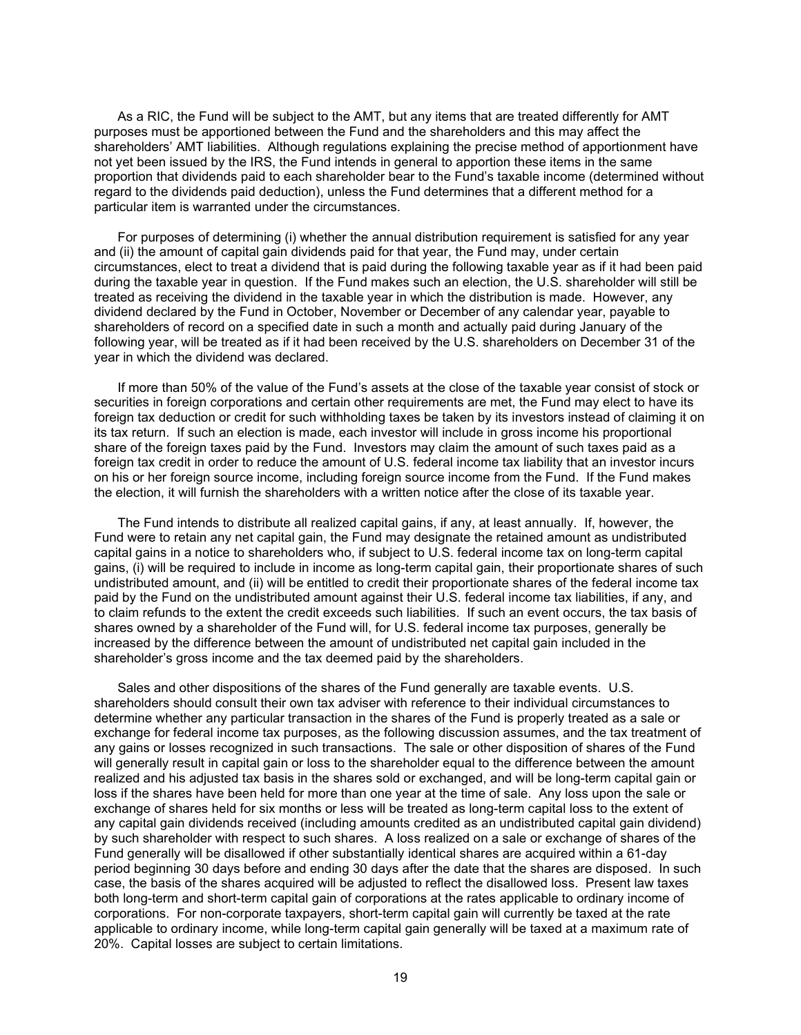As a RIC, the Fund will be subject to the AMT, but any items that are treated differently for AMT purposes must be apportioned between the Fund and the shareholders and this may affect the shareholders' AMT liabilities. Although regulations explaining the precise method of apportionment have not yet been issued by the IRS, the Fund intends in general to apportion these items in the same proportion that dividends paid to each shareholder bear to the Fund's taxable income (determined without regard to the dividends paid deduction), unless the Fund determines that a different method for a particular item is warranted under the circumstances.

For purposes of determining (i) whether the annual distribution requirement is satisfied for any year and (ii) the amount of capital gain dividends paid for that year, the Fund may, under certain circumstances, elect to treat a dividend that is paid during the following taxable year as if it had been paid during the taxable year in question. If the Fund makes such an election, the U.S. shareholder will still be treated as receiving the dividend in the taxable year in which the distribution is made. However, any dividend declared by the Fund in October, November or December of any calendar year, payable to shareholders of record on a specified date in such a month and actually paid during January of the following year, will be treated as if it had been received by the U.S. shareholders on December 31 of the year in which the dividend was declared.

If more than 50% of the value of the Fund's assets at the close of the taxable year consist of stock or securities in foreign corporations and certain other requirements are met, the Fund may elect to have its foreign tax deduction or credit for such withholding taxes be taken by its investors instead of claiming it on its tax return. If such an election is made, each investor will include in gross income his proportional share of the foreign taxes paid by the Fund. Investors may claim the amount of such taxes paid as a foreign tax credit in order to reduce the amount of U.S. federal income tax liability that an investor incurs on his or her foreign source income, including foreign source income from the Fund. If the Fund makes the election, it will furnish the shareholders with a written notice after the close of its taxable year.

The Fund intends to distribute all realized capital gains, if any, at least annually. If, however, the Fund were to retain any net capital gain, the Fund may designate the retained amount as undistributed capital gains in a notice to shareholders who, if subject to U.S. federal income tax on long-term capital gains, (i) will be required to include in income as long-term capital gain, their proportionate shares of such undistributed amount, and (ii) will be entitled to credit their proportionate shares of the federal income tax paid by the Fund on the undistributed amount against their U.S. federal income tax liabilities, if any, and to claim refunds to the extent the credit exceeds such liabilities. If such an event occurs, the tax basis of shares owned by a shareholder of the Fund will, for U.S. federal income tax purposes, generally be increased by the difference between the amount of undistributed net capital gain included in the shareholder's gross income and the tax deemed paid by the shareholders.

Sales and other dispositions of the shares of the Fund generally are taxable events. U.S. shareholders should consult their own tax adviser with reference to their individual circumstances to determine whether any particular transaction in the shares of the Fund is properly treated as a sale or exchange for federal income tax purposes, as the following discussion assumes, and the tax treatment of any gains or losses recognized in such transactions. The sale or other disposition of shares of the Fund will generally result in capital gain or loss to the shareholder equal to the difference between the amount realized and his adjusted tax basis in the shares sold or exchanged, and will be long-term capital gain or loss if the shares have been held for more than one year at the time of sale. Any loss upon the sale or exchange of shares held for six months or less will be treated as long-term capital loss to the extent of any capital gain dividends received (including amounts credited as an undistributed capital gain dividend) by such shareholder with respect to such shares. A loss realized on a sale or exchange of shares of the Fund generally will be disallowed if other substantially identical shares are acquired within a 61-day period beginning 30 days before and ending 30 days after the date that the shares are disposed. In such case, the basis of the shares acquired will be adjusted to reflect the disallowed loss. Present law taxes both long-term and short-term capital gain of corporations at the rates applicable to ordinary income of corporations. For non-corporate taxpayers, short-term capital gain will currently be taxed at the rate applicable to ordinary income, while long-term capital gain generally will be taxed at a maximum rate of 20%. Capital losses are subject to certain limitations.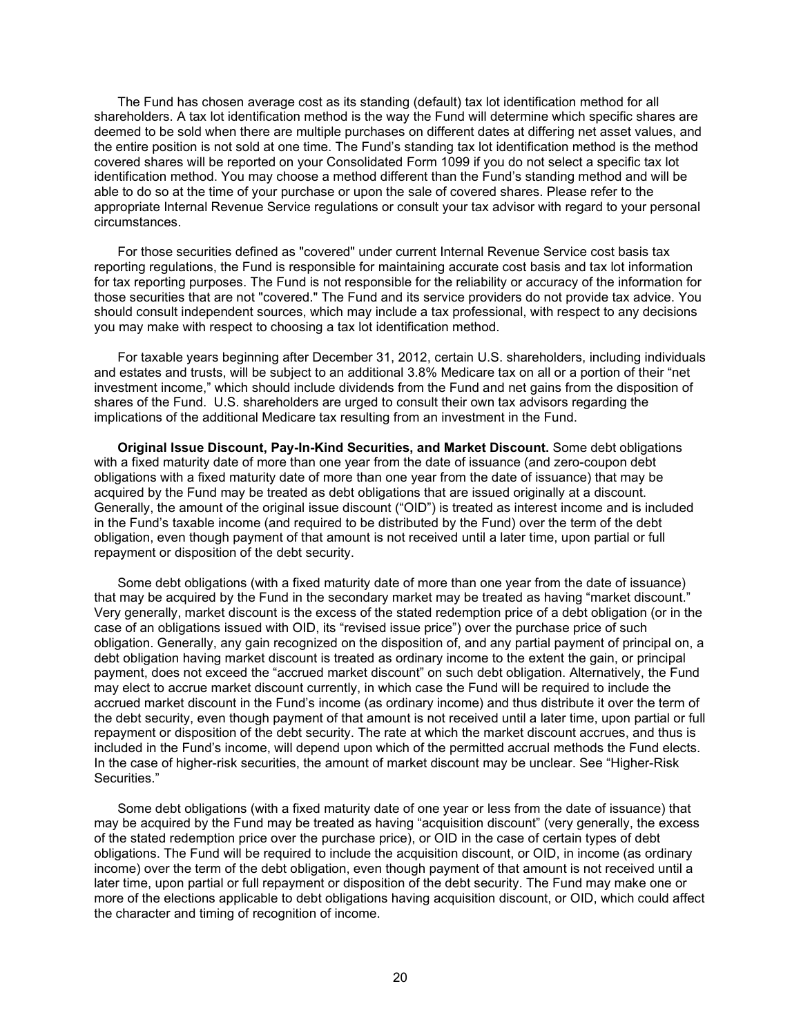The Fund has chosen average cost as its standing (default) tax lot identification method for all shareholders. A tax lot identification method is the way the Fund will determine which specific shares are deemed to be sold when there are multiple purchases on different dates at differing net asset values, and the entire position is not sold at one time. The Fund's standing tax lot identification method is the method covered shares will be reported on your Consolidated Form 1099 if you do not select a specific tax lot identification method. You may choose a method different than the Fund's standing method and will be able to do so at the time of your purchase or upon the sale of covered shares. Please refer to the appropriate Internal Revenue Service regulations or consult your tax advisor with regard to your personal circumstances.

For those securities defined as "covered" under current Internal Revenue Service cost basis tax reporting regulations, the Fund is responsible for maintaining accurate cost basis and tax lot information for tax reporting purposes. The Fund is not responsible for the reliability or accuracy of the information for those securities that are not "covered." The Fund and its service providers do not provide tax advice. You should consult independent sources, which may include a tax professional, with respect to any decisions you may make with respect to choosing a tax lot identification method.

For taxable years beginning after December 31, 2012, certain U.S. shareholders, including individuals and estates and trusts, will be subject to an additional 3.8% Medicare tax on all or a portion of their "net investment income," which should include dividends from the Fund and net gains from the disposition of shares of the Fund. U.S. shareholders are urged to consult their own tax advisors regarding the implications of the additional Medicare tax resulting from an investment in the Fund.

**Original Issue Discount, Pay-In-Kind Securities, and Market Discount.** Some debt obligations with a fixed maturity date of more than one year from the date of issuance (and zero-coupon debt obligations with a fixed maturity date of more than one year from the date of issuance) that may be acquired by the Fund may be treated as debt obligations that are issued originally at a discount. Generally, the amount of the original issue discount ("OID") is treated as interest income and is included in the Fund's taxable income (and required to be distributed by the Fund) over the term of the debt obligation, even though payment of that amount is not received until a later time, upon partial or full repayment or disposition of the debt security.

Some debt obligations (with a fixed maturity date of more than one year from the date of issuance) that may be acquired by the Fund in the secondary market may be treated as having "market discount." Very generally, market discount is the excess of the stated redemption price of a debt obligation (or in the case of an obligations issued with OID, its "revised issue price") over the purchase price of such obligation. Generally, any gain recognized on the disposition of, and any partial payment of principal on, a debt obligation having market discount is treated as ordinary income to the extent the gain, or principal payment, does not exceed the "accrued market discount" on such debt obligation. Alternatively, the Fund may elect to accrue market discount currently, in which case the Fund will be required to include the accrued market discount in the Fund's income (as ordinary income) and thus distribute it over the term of the debt security, even though payment of that amount is not received until a later time, upon partial or full repayment or disposition of the debt security. The rate at which the market discount accrues, and thus is included in the Fund's income, will depend upon which of the permitted accrual methods the Fund elects. In the case of higher-risk securities, the amount of market discount may be unclear. See "Higher-Risk Securities."

Some debt obligations (with a fixed maturity date of one year or less from the date of issuance) that may be acquired by the Fund may be treated as having "acquisition discount" (very generally, the excess of the stated redemption price over the purchase price), or OID in the case of certain types of debt obligations. The Fund will be required to include the acquisition discount, or OID, in income (as ordinary income) over the term of the debt obligation, even though payment of that amount is not received until a later time, upon partial or full repayment or disposition of the debt security. The Fund may make one or more of the elections applicable to debt obligations having acquisition discount, or OID, which could affect the character and timing of recognition of income.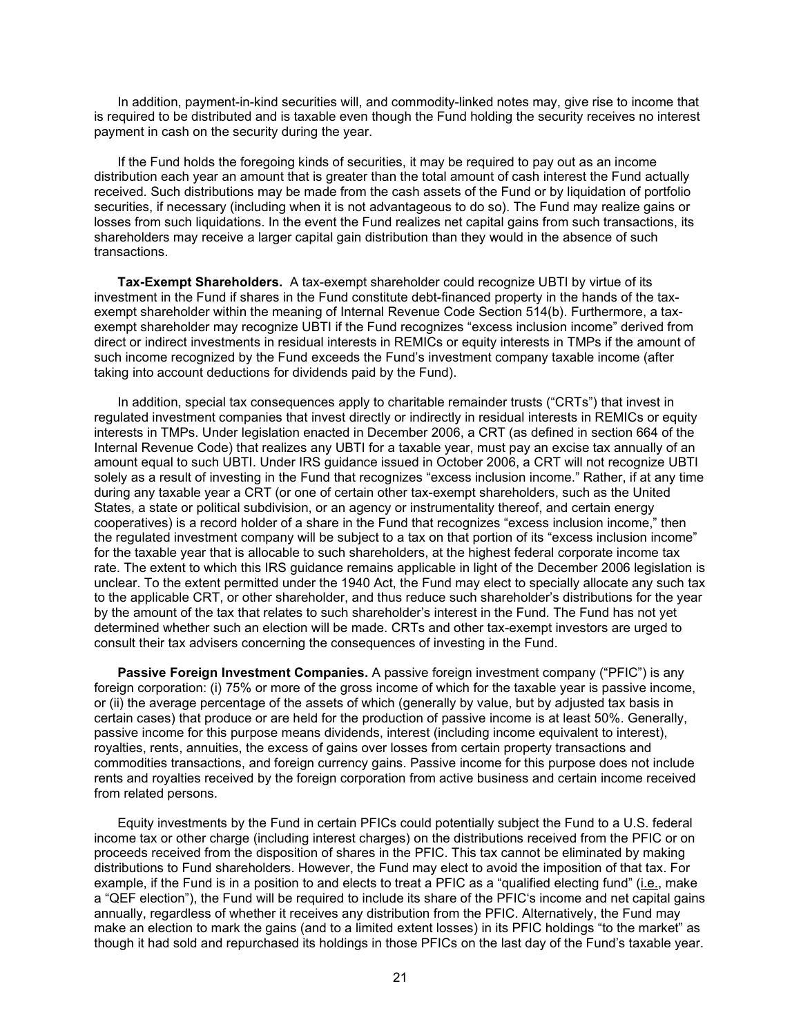In addition, payment-in-kind securities will, and commodity-linked notes may, give rise to income that is required to be distributed and is taxable even though the Fund holding the security receives no interest payment in cash on the security during the year.

If the Fund holds the foregoing kinds of securities, it may be required to pay out as an income distribution each year an amount that is greater than the total amount of cash interest the Fund actually received. Such distributions may be made from the cash assets of the Fund or by liquidation of portfolio securities, if necessary (including when it is not advantageous to do so). The Fund may realize gains or losses from such liquidations. In the event the Fund realizes net capital gains from such transactions, its shareholders may receive a larger capital gain distribution than they would in the absence of such transactions.

**Tax-Exempt Shareholders.** A tax-exempt shareholder could recognize UBTI by virtue of its investment in the Fund if shares in the Fund constitute debt-financed property in the hands of the taxexempt shareholder within the meaning of Internal Revenue Code Section 514(b). Furthermore, a taxexempt shareholder may recognize UBTI if the Fund recognizes "excess inclusion income" derived from direct or indirect investments in residual interests in REMICs or equity interests in TMPs if the amount of such income recognized by the Fund exceeds the Fund's investment company taxable income (after taking into account deductions for dividends paid by the Fund).

In addition, special tax consequences apply to charitable remainder trusts ("CRTs") that invest in regulated investment companies that invest directly or indirectly in residual interests in REMICs or equity interests in TMPs. Under legislation enacted in December 2006, a CRT (as defined in section 664 of the Internal Revenue Code) that realizes any UBTI for a taxable year, must pay an excise tax annually of an amount equal to such UBTI. Under IRS guidance issued in October 2006, a CRT will not recognize UBTI solely as a result of investing in the Fund that recognizes "excess inclusion income." Rather, if at any time during any taxable year a CRT (or one of certain other tax-exempt shareholders, such as the United States, a state or political subdivision, or an agency or instrumentality thereof, and certain energy cooperatives) is a record holder of a share in the Fund that recognizes "excess inclusion income," then the regulated investment company will be subject to a tax on that portion of its "excess inclusion income" for the taxable year that is allocable to such shareholders, at the highest federal corporate income tax rate. The extent to which this IRS guidance remains applicable in light of the December 2006 legislation is unclear. To the extent permitted under the 1940 Act, the Fund may elect to specially allocate any such tax to the applicable CRT, or other shareholder, and thus reduce such shareholder's distributions for the year by the amount of the tax that relates to such shareholder's interest in the Fund. The Fund has not yet determined whether such an election will be made. CRTs and other tax-exempt investors are urged to consult their tax advisers concerning the consequences of investing in the Fund.

**Passive Foreign Investment Companies.** A passive foreign investment company ("PFIC") is any foreign corporation: (i) 75% or more of the gross income of which for the taxable year is passive income, or (ii) the average percentage of the assets of which (generally by value, but by adjusted tax basis in certain cases) that produce or are held for the production of passive income is at least 50%. Generally, passive income for this purpose means dividends, interest (including income equivalent to interest), royalties, rents, annuities, the excess of gains over losses from certain property transactions and commodities transactions, and foreign currency gains. Passive income for this purpose does not include rents and royalties received by the foreign corporation from active business and certain income received from related persons.

Equity investments by the Fund in certain PFICs could potentially subject the Fund to a U.S. federal income tax or other charge (including interest charges) on the distributions received from the PFIC or on proceeds received from the disposition of shares in the PFIC. This tax cannot be eliminated by making distributions to Fund shareholders. However, the Fund may elect to avoid the imposition of that tax. For example, if the Fund is in a position to and elects to treat a PFIC as a "qualified electing fund" (i.e., make a "QEF election"), the Fund will be required to include its share of the PFIC's income and net capital gains annually, regardless of whether it receives any distribution from the PFIC. Alternatively, the Fund may make an election to mark the gains (and to a limited extent losses) in its PFIC holdings "to the market" as though it had sold and repurchased its holdings in those PFICs on the last day of the Fund's taxable year.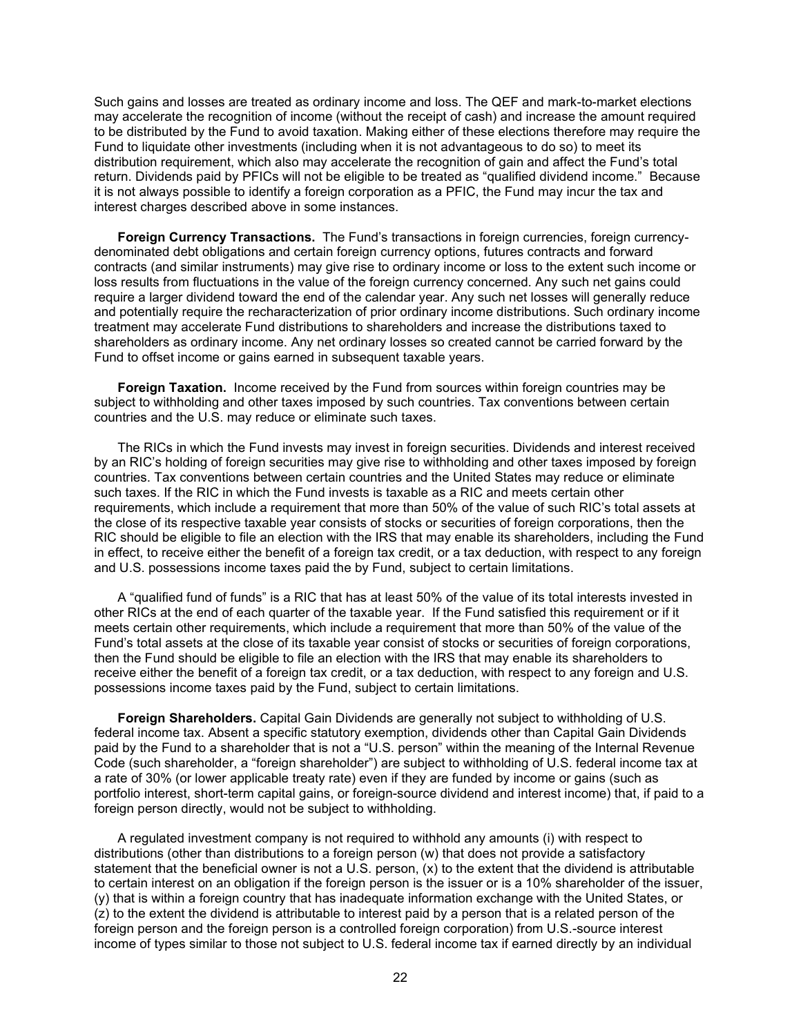Such gains and losses are treated as ordinary income and loss. The QEF and mark-to-market elections may accelerate the recognition of income (without the receipt of cash) and increase the amount required to be distributed by the Fund to avoid taxation. Making either of these elections therefore may require the Fund to liquidate other investments (including when it is not advantageous to do so) to meet its distribution requirement, which also may accelerate the recognition of gain and affect the Fund's total return. Dividends paid by PFICs will not be eligible to be treated as "qualified dividend income." Because it is not always possible to identify a foreign corporation as a PFIC, the Fund may incur the tax and interest charges described above in some instances.

**Foreign Currency Transactions.** The Fund's transactions in foreign currencies, foreign currencydenominated debt obligations and certain foreign currency options, futures contracts and forward contracts (and similar instruments) may give rise to ordinary income or loss to the extent such income or loss results from fluctuations in the value of the foreign currency concerned. Any such net gains could require a larger dividend toward the end of the calendar year. Any such net losses will generally reduce and potentially require the recharacterization of prior ordinary income distributions. Such ordinary income treatment may accelerate Fund distributions to shareholders and increase the distributions taxed to shareholders as ordinary income. Any net ordinary losses so created cannot be carried forward by the Fund to offset income or gains earned in subsequent taxable years.

**Foreign Taxation.** Income received by the Fund from sources within foreign countries may be subject to withholding and other taxes imposed by such countries. Tax conventions between certain countries and the U.S. may reduce or eliminate such taxes.

The RICs in which the Fund invests may invest in foreign securities. Dividends and interest received by an RIC's holding of foreign securities may give rise to withholding and other taxes imposed by foreign countries. Tax conventions between certain countries and the United States may reduce or eliminate such taxes. If the RIC in which the Fund invests is taxable as a RIC and meets certain other requirements, which include a requirement that more than 50% of the value of such RIC's total assets at the close of its respective taxable year consists of stocks or securities of foreign corporations, then the RIC should be eligible to file an election with the IRS that may enable its shareholders, including the Fund in effect, to receive either the benefit of a foreign tax credit, or a tax deduction, with respect to any foreign and U.S. possessions income taxes paid the by Fund, subject to certain limitations.

A "qualified fund of funds" is a RIC that has at least 50% of the value of its total interests invested in other RICs at the end of each quarter of the taxable year. If the Fund satisfied this requirement or if it meets certain other requirements, which include a requirement that more than 50% of the value of the Fund's total assets at the close of its taxable year consist of stocks or securities of foreign corporations, then the Fund should be eligible to file an election with the IRS that may enable its shareholders to receive either the benefit of a foreign tax credit, or a tax deduction, with respect to any foreign and U.S. possessions income taxes paid by the Fund, subject to certain limitations.

**Foreign Shareholders.** Capital Gain Dividends are generally not subject to withholding of U.S. federal income tax. Absent a specific statutory exemption, dividends other than Capital Gain Dividends paid by the Fund to a shareholder that is not a "U.S. person" within the meaning of the Internal Revenue Code (such shareholder, a "foreign shareholder") are subject to withholding of U.S. federal income tax at a rate of 30% (or lower applicable treaty rate) even if they are funded by income or gains (such as portfolio interest, short-term capital gains, or foreign-source dividend and interest income) that, if paid to a foreign person directly, would not be subject to withholding.

A regulated investment company is not required to withhold any amounts (i) with respect to distributions (other than distributions to a foreign person (w) that does not provide a satisfactory statement that the beneficial owner is not a U.S. person,  $(x)$  to the extent that the dividend is attributable to certain interest on an obligation if the foreign person is the issuer or is a 10% shareholder of the issuer, (y) that is within a foreign country that has inadequate information exchange with the United States, or (z) to the extent the dividend is attributable to interest paid by a person that is a related person of the foreign person and the foreign person is a controlled foreign corporation) from U.S.-source interest income of types similar to those not subject to U.S. federal income tax if earned directly by an individual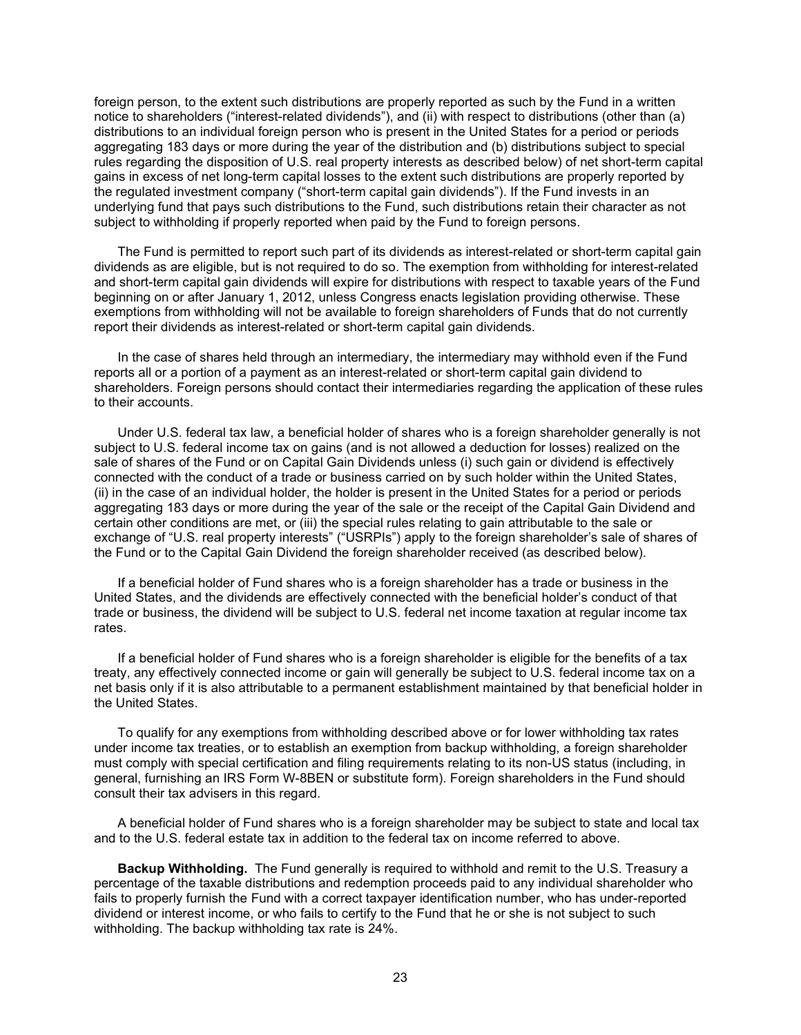foreign person, to the extent such distributions are properly reported as such by the Fund in a written notice to shareholders ("interest-related dividends"), and (ii) with respect to distributions (other than (a) distributions to an individual foreign person who is present in the United States for a period or periods aggregating 183 days or more during the year of the distribution and (b) distributions subject to special rules regarding the disposition of U.S. real property interests as described below) of net short-term capital gains in excess of net long-term capital losses to the extent such distributions are properly reported by the regulated investment company ("short-term capital gain dividends"). If the Fund invests in an underlying fund that pays such distributions to the Fund, such distributions retain their character as not subject to withholding if properly reported when paid by the Fund to foreign persons.

The Fund is permitted to report such part of its dividends as interest-related or short-term capital gain dividends as are eligible, but is not required to do so. The exemption from withholding for interest-related and short-term capital gain dividends will expire for distributions with respect to taxable years of the Fund beginning on or after January 1, 2012, unless Congress enacts legislation providing otherwise. These exemptions from withholding will not be available to foreign shareholders of Funds that do not currently report their dividends as interest-related or short-term capital gain dividends.

In the case of shares held through an intermediary, the intermediary may withhold even if the Fund reports all or a portion of a payment as an interest-related or short-term capital gain dividend to shareholders. Foreign persons should contact their intermediaries regarding the application of these rules to their accounts.

Under U.S. federal tax law, a beneficial holder of shares who is a foreign shareholder generally is not subject to U.S. federal income tax on gains (and is not allowed a deduction for losses) realized on the sale of shares of the Fund or on Capital Gain Dividends unless (i) such gain or dividend is effectively connected with the conduct of a trade or business carried on by such holder within the United States, (ii) in the case of an individual holder, the holder is present in the United States for a period or periods aggregating 183 days or more during the year of the sale or the receipt of the Capital Gain Dividend and certain other conditions are met, or (iii) the special rules relating to gain attributable to the sale or exchange of "U.S. real property interests" ("USRPIs") apply to the foreign shareholder's sale of shares of the Fund or to the Capital Gain Dividend the foreign shareholder received (as described below).

If a beneficial holder of Fund shares who is a foreign shareholder has a trade or business in the United States, and the dividends are effectively connected with the beneficial holder's conduct of that trade or business, the dividend will be subject to U.S. federal net income taxation at regular income tax rates.

If a beneficial holder of Fund shares who is a foreign shareholder is eligible for the benefits of a tax treaty, any effectively connected income or gain will generally be subject to U.S. federal income tax on a net basis only if it is also attributable to a permanent establishment maintained by that beneficial holder in the United States.

To qualify for any exemptions from withholding described above or for lower withholding tax rates under income tax treaties, or to establish an exemption from backup withholding, a foreign shareholder must comply with special certification and filing requirements relating to its non-US status (including, in general, furnishing an IRS Form W-8BEN or substitute form). Foreign shareholders in the Fund should consult their tax advisers in this regard.

A beneficial holder of Fund shares who is a foreign shareholder may be subject to state and local tax and to the U.S. federal estate tax in addition to the federal tax on income referred to above.

**Backup Withholding.** The Fund generally is required to withhold and remit to the U.S. Treasury a percentage of the taxable distributions and redemption proceeds paid to any individual shareholder who fails to properly furnish the Fund with a correct taxpayer identification number, who has under-reported dividend or interest income, or who fails to certify to the Fund that he or she is not subject to such withholding. The backup withholding tax rate is 24%.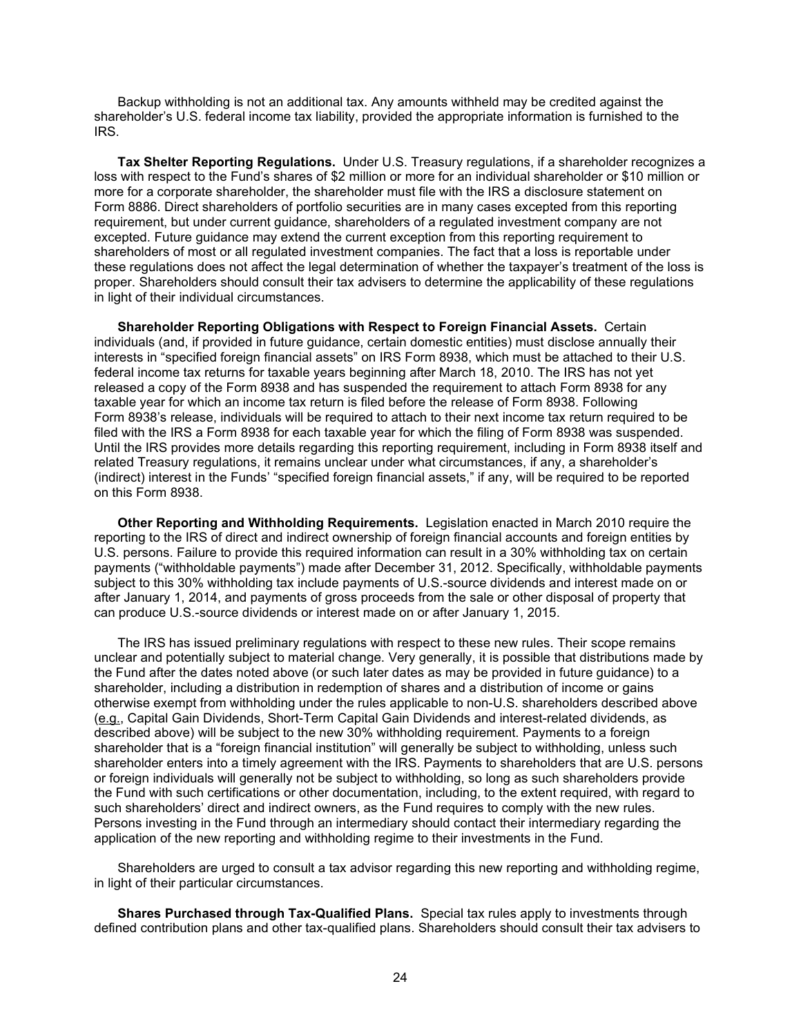Backup withholding is not an additional tax. Any amounts withheld may be credited against the shareholder's U.S. federal income tax liability, provided the appropriate information is furnished to the IRS.

**Tax Shelter Reporting Regulations.** Under U.S. Treasury regulations, if a shareholder recognizes a loss with respect to the Fund's shares of \$2 million or more for an individual shareholder or \$10 million or more for a corporate shareholder, the shareholder must file with the IRS a disclosure statement on Form 8886. Direct shareholders of portfolio securities are in many cases excepted from this reporting requirement, but under current guidance, shareholders of a regulated investment company are not excepted. Future guidance may extend the current exception from this reporting requirement to shareholders of most or all regulated investment companies. The fact that a loss is reportable under these regulations does not affect the legal determination of whether the taxpayer's treatment of the loss is proper. Shareholders should consult their tax advisers to determine the applicability of these regulations in light of their individual circumstances.

**Shareholder Reporting Obligations with Respect to Foreign Financial Assets.** Certain individuals (and, if provided in future guidance, certain domestic entities) must disclose annually their interests in "specified foreign financial assets" on IRS Form 8938, which must be attached to their U.S. federal income tax returns for taxable years beginning after March 18, 2010. The IRS has not yet released a copy of the Form 8938 and has suspended the requirement to attach Form 8938 for any taxable year for which an income tax return is filed before the release of Form 8938. Following Form 8938's release, individuals will be required to attach to their next income tax return required to be filed with the IRS a Form 8938 for each taxable year for which the filing of Form 8938 was suspended. Until the IRS provides more details regarding this reporting requirement, including in Form 8938 itself and related Treasury regulations, it remains unclear under what circumstances, if any, a shareholder's (indirect) interest in the Funds' "specified foreign financial assets," if any, will be required to be reported on this Form 8938.

**Other Reporting and Withholding Requirements.** Legislation enacted in March 2010 require the reporting to the IRS of direct and indirect ownership of foreign financial accounts and foreign entities by U.S. persons. Failure to provide this required information can result in a 30% withholding tax on certain payments ("withholdable payments") made after December 31, 2012. Specifically, withholdable payments subject to this 30% withholding tax include payments of U.S.-source dividends and interest made on or after January 1, 2014, and payments of gross proceeds from the sale or other disposal of property that can produce U.S.-source dividends or interest made on or after January 1, 2015.

The IRS has issued preliminary regulations with respect to these new rules. Their scope remains unclear and potentially subject to material change. Very generally, it is possible that distributions made by the Fund after the dates noted above (or such later dates as may be provided in future guidance) to a shareholder, including a distribution in redemption of shares and a distribution of income or gains otherwise exempt from withholding under the rules applicable to non-U.S. shareholders described above (e.g., Capital Gain Dividends, Short-Term Capital Gain Dividends and interest-related dividends, as described above) will be subject to the new 30% withholding requirement. Payments to a foreign shareholder that is a "foreign financial institution" will generally be subject to withholding, unless such shareholder enters into a timely agreement with the IRS. Payments to shareholders that are U.S. persons or foreign individuals will generally not be subject to withholding, so long as such shareholders provide the Fund with such certifications or other documentation, including, to the extent required, with regard to such shareholders' direct and indirect owners, as the Fund requires to comply with the new rules. Persons investing in the Fund through an intermediary should contact their intermediary regarding the application of the new reporting and withholding regime to their investments in the Fund.

Shareholders are urged to consult a tax advisor regarding this new reporting and withholding regime, in light of their particular circumstances.

**Shares Purchased through Tax-Qualified Plans.** Special tax rules apply to investments through defined contribution plans and other tax-qualified plans. Shareholders should consult their tax advisers to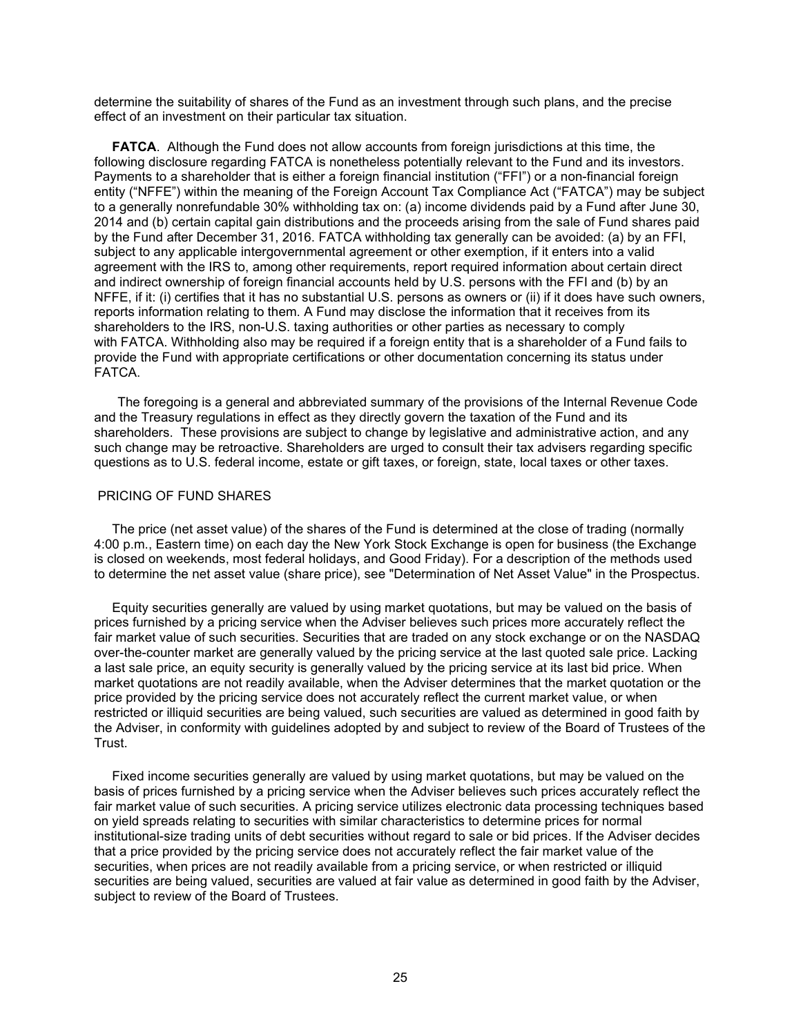determine the suitability of shares of the Fund as an investment through such plans, and the precise effect of an investment on their particular tax situation.

 **FATCA**. Although the Fund does not allow accounts from foreign jurisdictions at this time, the following disclosure regarding FATCA is nonetheless potentially relevant to the Fund and its investors. Payments to a shareholder that is either a foreign financial institution ("FFI") or a non-financial foreign entity ("NFFE") within the meaning of the Foreign Account Tax Compliance Act ("FATCA") may be subject to a generally nonrefundable 30% withholding tax on: (a) income dividends paid by a Fund after June 30, 2014 and (b) certain capital gain distributions and the proceeds arising from the sale of Fund shares paid by the Fund after December 31, 2016. FATCA withholding tax generally can be avoided: (a) by an FFI, subject to any applicable intergovernmental agreement or other exemption, if it enters into a valid agreement with the IRS to, among other requirements, report required information about certain direct and indirect ownership of foreign financial accounts held by U.S. persons with the FFI and (b) by an NFFE, if it: (i) certifies that it has no substantial U.S. persons as owners or (ii) if it does have such owners, reports information relating to them. A Fund may disclose the information that it receives from its shareholders to the IRS, non-U.S. taxing authorities or other parties as necessary to comply with FATCA. Withholding also may be required if a foreign entity that is a shareholder of a Fund fails to provide the Fund with appropriate certifications or other documentation concerning its status under FATCA.

The foregoing is a general and abbreviated summary of the provisions of the Internal Revenue Code and the Treasury regulations in effect as they directly govern the taxation of the Fund and its shareholders. These provisions are subject to change by legislative and administrative action, and any such change may be retroactive. Shareholders are urged to consult their tax advisers regarding specific questions as to U.S. federal income, estate or gift taxes, or foreign, state, local taxes or other taxes.

## <span id="page-25-0"></span>PRICING OF FUND SHARES

 The price (net asset value) of the shares of the Fund is determined at the close of trading (normally 4:00 p.m., Eastern time) on each day the New York Stock Exchange is open for business (the Exchange is closed on weekends, most federal holidays, and Good Friday). For a description of the methods used to determine the net asset value (share price), see "Determination of Net Asset Value" in the Prospectus.

 Equity securities generally are valued by using market quotations, but may be valued on the basis of prices furnished by a pricing service when the Adviser believes such prices more accurately reflect the fair market value of such securities. Securities that are traded on any stock exchange or on the NASDAQ over-the-counter market are generally valued by the pricing service at the last quoted sale price. Lacking a last sale price, an equity security is generally valued by the pricing service at its last bid price. When market quotations are not readily available, when the Adviser determines that the market quotation or the price provided by the pricing service does not accurately reflect the current market value, or when restricted or illiquid securities are being valued, such securities are valued as determined in good faith by the Adviser, in conformity with guidelines adopted by and subject to review of the Board of Trustees of the Trust.

 Fixed income securities generally are valued by using market quotations, but may be valued on the basis of prices furnished by a pricing service when the Adviser believes such prices accurately reflect the fair market value of such securities. A pricing service utilizes electronic data processing techniques based on yield spreads relating to securities with similar characteristics to determine prices for normal institutional-size trading units of debt securities without regard to sale or bid prices. If the Adviser decides that a price provided by the pricing service does not accurately reflect the fair market value of the securities, when prices are not readily available from a pricing service, or when restricted or illiquid securities are being valued, securities are valued at fair value as determined in good faith by the Adviser, subject to review of the Board of Trustees.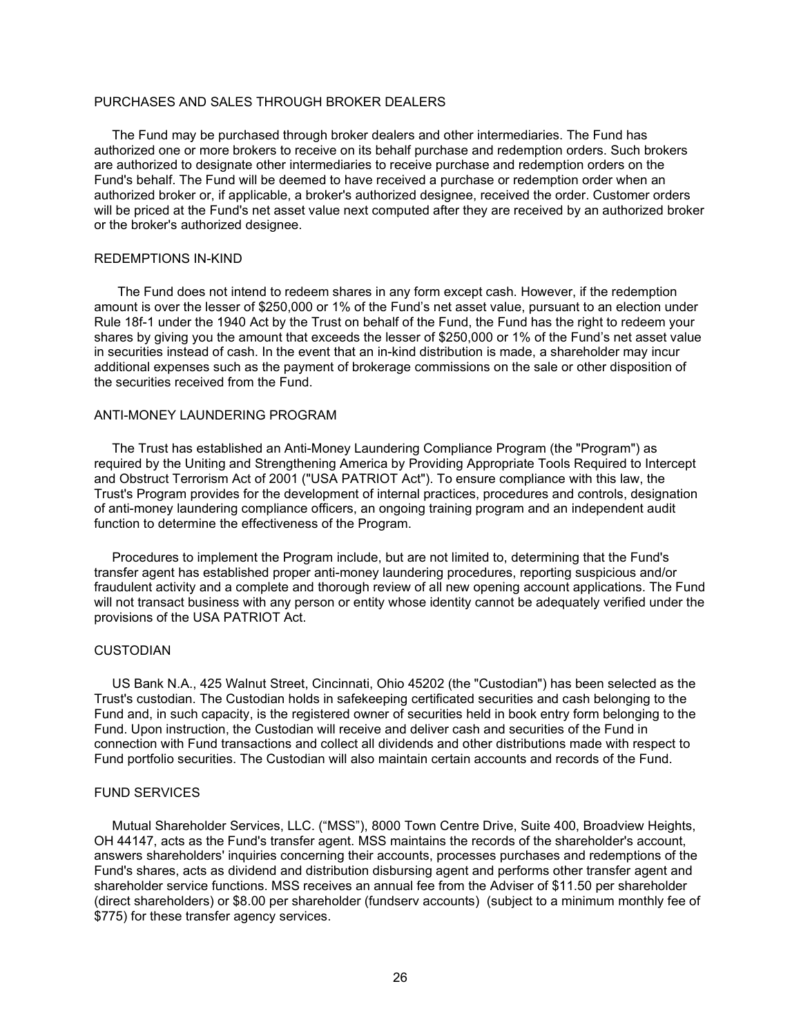# <span id="page-26-0"></span>PURCHASES AND SALES THROUGH BROKER DEALERS

 The Fund may be purchased through broker dealers and other intermediaries. The Fund has authorized one or more brokers to receive on its behalf purchase and redemption orders. Such brokers are authorized to designate other intermediaries to receive purchase and redemption orders on the Fund's behalf. The Fund will be deemed to have received a purchase or redemption order when an authorized broker or, if applicable, a broker's authorized designee, received the order. Customer orders will be priced at the Fund's net asset value next computed after they are received by an authorized broker or the broker's authorized designee.

#### <span id="page-26-1"></span>REDEMPTIONS IN-KIND

The Fund does not intend to redeem shares in any form except cash. However, if the redemption amount is over the lesser of \$250,000 or 1% of the Fund's net asset value, pursuant to an election under Rule 18f-1 under the 1940 Act by the Trust on behalf of the Fund, the Fund has the right to redeem your shares by giving you the amount that exceeds the lesser of \$250,000 or 1% of the Fund's net asset value in securities instead of cash. In the event that an in-kind distribution is made, a shareholder may incur additional expenses such as the payment of brokerage commissions on the sale or other disposition of the securities received from the Fund.

### <span id="page-26-2"></span>ANTI-MONEY LAUNDERING PROGRAM

 The Trust has established an Anti-Money Laundering Compliance Program (the "Program") as required by the Uniting and Strengthening America by Providing Appropriate Tools Required to Intercept and Obstruct Terrorism Act of 2001 ("USA PATRIOT Act"). To ensure compliance with this law, the Trust's Program provides for the development of internal practices, procedures and controls, designation of anti-money laundering compliance officers, an ongoing training program and an independent audit function to determine the effectiveness of the Program.

 Procedures to implement the Program include, but are not limited to, determining that the Fund's transfer agent has established proper anti-money laundering procedures, reporting suspicious and/or fraudulent activity and a complete and thorough review of all new opening account applications. The Fund will not transact business with any person or entity whose identity cannot be adequately verified under the provisions of the USA PATRIOT Act.

### <span id="page-26-3"></span>CUSTODIAN

 US Bank N.A., 425 Walnut Street, Cincinnati, Ohio 45202 (the "Custodian") has been selected as the Trust's custodian. The Custodian holds in safekeeping certificated securities and cash belonging to the Fund and, in such capacity, is the registered owner of securities held in book entry form belonging to the Fund. Upon instruction, the Custodian will receive and deliver cash and securities of the Fund in connection with Fund transactions and collect all dividends and other distributions made with respect to Fund portfolio securities. The Custodian will also maintain certain accounts and records of the Fund.

### <span id="page-26-4"></span>FUND SERVICES

 Mutual Shareholder Services, LLC. ("MSS"), 8000 Town Centre Drive, Suite 400, Broadview Heights, OH 44147, acts as the Fund's transfer agent. MSS maintains the records of the shareholder's account, answers shareholders' inquiries concerning their accounts, processes purchases and redemptions of the Fund's shares, acts as dividend and distribution disbursing agent and performs other transfer agent and shareholder service functions. MSS receives an annual fee from the Adviser of \$11.50 per shareholder (direct shareholders) or \$8.00 per shareholder (fundserv accounts) (subject to a minimum monthly fee of \$775) for these transfer agency services.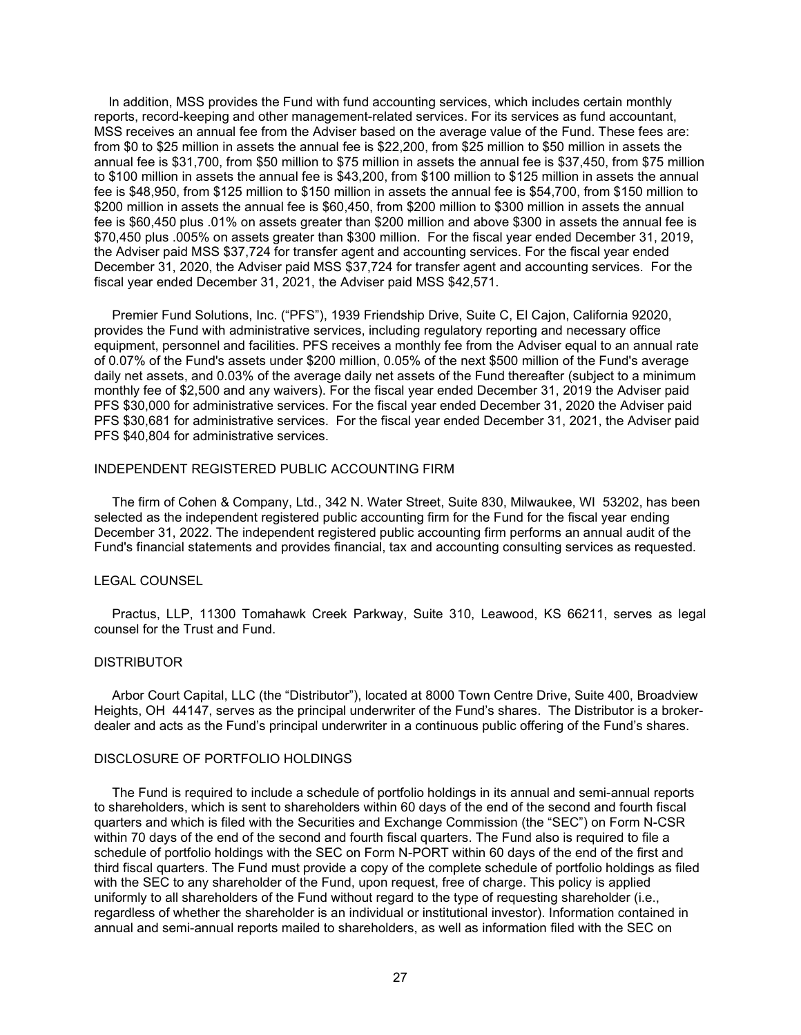In addition, MSS provides the Fund with fund accounting services, which includes certain monthly reports, record-keeping and other management-related services. For its services as fund accountant, MSS receives an annual fee from the Adviser based on the average value of the Fund. These fees are: from \$0 to \$25 million in assets the annual fee is \$22,200, from \$25 million to \$50 million in assets the annual fee is \$31,700, from \$50 million to \$75 million in assets the annual fee is \$37,450, from \$75 million to \$100 million in assets the annual fee is \$43,200, from \$100 million to \$125 million in assets the annual fee is \$48,950, from \$125 million to \$150 million in assets the annual fee is \$54,700, from \$150 million to \$200 million in assets the annual fee is \$60,450, from \$200 million to \$300 million in assets the annual fee is \$60,450 plus .01% on assets greater than \$200 million and above \$300 in assets the annual fee is \$70,450 plus .005% on assets greater than \$300 million. For the fiscal year ended December 31, 2019, the Adviser paid MSS \$37,724 for transfer agent and accounting services. For the fiscal year ended December 31, 2020, the Adviser paid MSS \$37,724 for transfer agent and accounting services. For the fiscal year ended December 31, 2021, the Adviser paid MSS \$42,571.

 Premier Fund Solutions, Inc. ("PFS"), 1939 Friendship Drive, Suite C, El Cajon, California 92020, provides the Fund with administrative services, including regulatory reporting and necessary office equipment, personnel and facilities. PFS receives a monthly fee from the Adviser equal to an annual rate of 0.07% of the Fund's assets under \$200 million, 0.05% of the next \$500 million of the Fund's average daily net assets, and 0.03% of the average daily net assets of the Fund thereafter (subject to a minimum monthly fee of \$2,500 and any waivers). For the fiscal year ended December 31, 2019 the Adviser paid PFS \$30,000 for administrative services. For the fiscal year ended December 31, 2020 the Adviser paid PFS \$30,681 for administrative services. For the fiscal year ended December 31, 2021, the Adviser paid PFS \$40,804 for administrative services.

## <span id="page-27-0"></span>INDEPENDENT REGISTERED PUBLIC ACCOUNTING FIRM

 The firm of Cohen & Company, Ltd., 342 N. Water Street, Suite 830, Milwaukee, WI 53202, has been selected as the independent registered public accounting firm for the Fund for the fiscal year ending December 31, 2022. The independent registered public accounting firm performs an annual audit of the Fund's financial statements and provides financial, tax and accounting consulting services as requested.

#### <span id="page-27-1"></span>LEGAL COUNSEL

 Practus, LLP, 11300 Tomahawk Creek Parkway, Suite 310, Leawood, KS 66211, serves as legal counsel for the Trust and Fund.

#### <span id="page-27-2"></span>**DISTRIBUTOR**

 Arbor Court Capital, LLC (the "Distributor"), located at 8000 Town Centre Drive, Suite 400, Broadview Heights, OH 44147, serves as the principal underwriter of the Fund's shares. The Distributor is a brokerdealer and acts as the Fund's principal underwriter in a continuous public offering of the Fund's shares.

### <span id="page-27-3"></span>DISCLOSURE OF PORTFOLIO HOLDINGS

 The Fund is required to include a schedule of portfolio holdings in its annual and semi-annual reports to shareholders, which is sent to shareholders within 60 days of the end of the second and fourth fiscal quarters and which is filed with the Securities and Exchange Commission (the "SEC") on Form N-CSR within 70 days of the end of the second and fourth fiscal quarters. The Fund also is required to file a schedule of portfolio holdings with the SEC on Form N-PORT within 60 days of the end of the first and third fiscal quarters. The Fund must provide a copy of the complete schedule of portfolio holdings as filed with the SEC to any shareholder of the Fund, upon request, free of charge. This policy is applied uniformly to all shareholders of the Fund without regard to the type of requesting shareholder (i.e., regardless of whether the shareholder is an individual or institutional investor). Information contained in annual and semi-annual reports mailed to shareholders, as well as information filed with the SEC on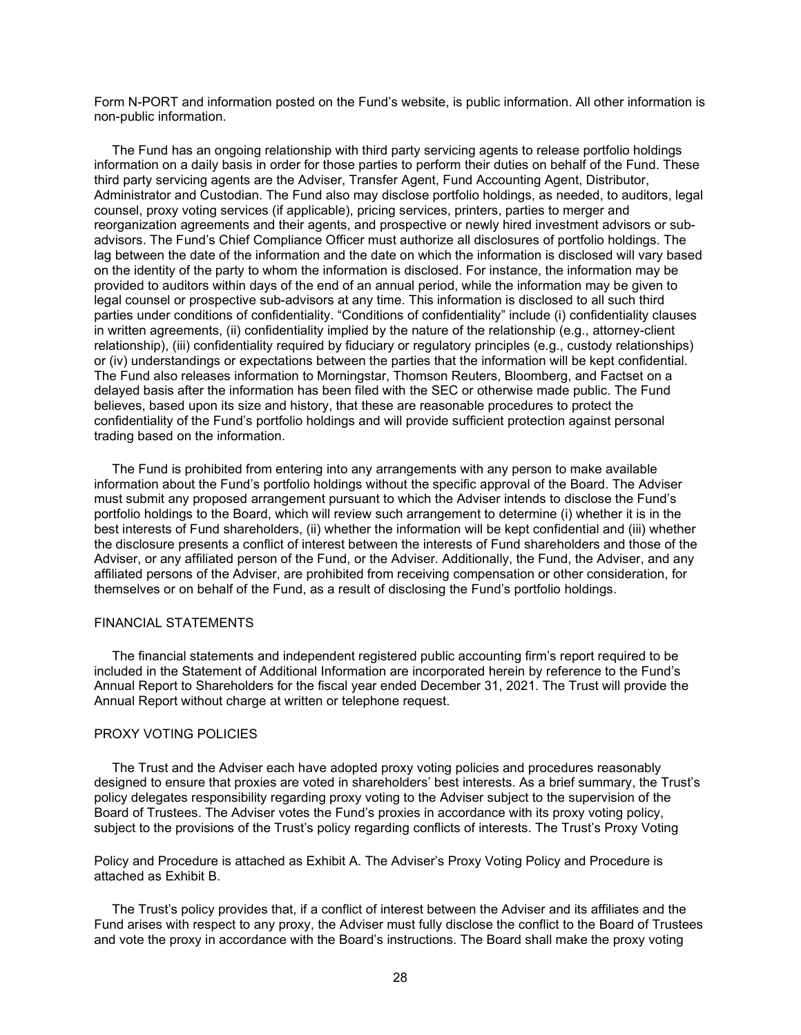Form N-PORT and information posted on the Fund's website, is public information. All other information is non-public information.

 The Fund has an ongoing relationship with third party servicing agents to release portfolio holdings information on a daily basis in order for those parties to perform their duties on behalf of the Fund. These third party servicing agents are the Adviser, Transfer Agent, Fund Accounting Agent, Distributor, Administrator and Custodian. The Fund also may disclose portfolio holdings, as needed, to auditors, legal counsel, proxy voting services (if applicable), pricing services, printers, parties to merger and reorganization agreements and their agents, and prospective or newly hired investment advisors or subadvisors. The Fund's Chief Compliance Officer must authorize all disclosures of portfolio holdings. The lag between the date of the information and the date on which the information is disclosed will vary based on the identity of the party to whom the information is disclosed. For instance, the information may be provided to auditors within days of the end of an annual period, while the information may be given to legal counsel or prospective sub-advisors at any time. This information is disclosed to all such third parties under conditions of confidentiality. "Conditions of confidentiality" include (i) confidentiality clauses in written agreements, (ii) confidentiality implied by the nature of the relationship (e.g., attorney-client relationship), (iii) confidentiality required by fiduciary or regulatory principles (e.g., custody relationships) or (iv) understandings or expectations between the parties that the information will be kept confidential. The Fund also releases information to Morningstar, Thomson Reuters, Bloomberg, and Factset on a delayed basis after the information has been filed with the SEC or otherwise made public. The Fund believes, based upon its size and history, that these are reasonable procedures to protect the confidentiality of the Fund's portfolio holdings and will provide sufficient protection against personal trading based on the information.

 The Fund is prohibited from entering into any arrangements with any person to make available information about the Fund's portfolio holdings without the specific approval of the Board. The Adviser must submit any proposed arrangement pursuant to which the Adviser intends to disclose the Fund's portfolio holdings to the Board, which will review such arrangement to determine (i) whether it is in the best interests of Fund shareholders, (ii) whether the information will be kept confidential and (iii) whether the disclosure presents a conflict of interest between the interests of Fund shareholders and those of the Adviser, or any affiliated person of the Fund, or the Adviser. Additionally, the Fund, the Adviser, and any affiliated persons of the Adviser, are prohibited from receiving compensation or other consideration, for themselves or on behalf of the Fund, as a result of disclosing the Fund's portfolio holdings.

### <span id="page-28-0"></span>FINANCIAL STATEMENTS

 The financial statements and independent registered public accounting firm's report required to be included in the Statement of Additional Information are incorporated herein by reference to the Fund's Annual Report to Shareholders for the fiscal year ended December 31, 2021. The Trust will provide the Annual Report without charge at written or telephone request.

# <span id="page-28-1"></span>PROXY VOTING POLICIES

 The Trust and the Adviser each have adopted proxy voting policies and procedures reasonably designed to ensure that proxies are voted in shareholders' best interests. As a brief summary, the Trust's policy delegates responsibility regarding proxy voting to the Adviser subject to the supervision of the Board of Trustees. The Adviser votes the Fund's proxies in accordance with its proxy voting policy, subiect to the provisions of the Trust's policy regarding conflicts of interests. The Trust's Proxy Voting

Policy and Procedure is attached as Exhibit A. The Adviser's Proxy Voting Policy and Procedure is attached as Exhibit B.

 The Trust's policy provides that, if a conflict of interest between the Adviser and its affiliates and the Fund arises with respect to any proxy, the Adviser must fully disclose the conflict to the Board of Trustees and vote the proxy in accordance with the Board's instructions. The Board shall make the proxy voting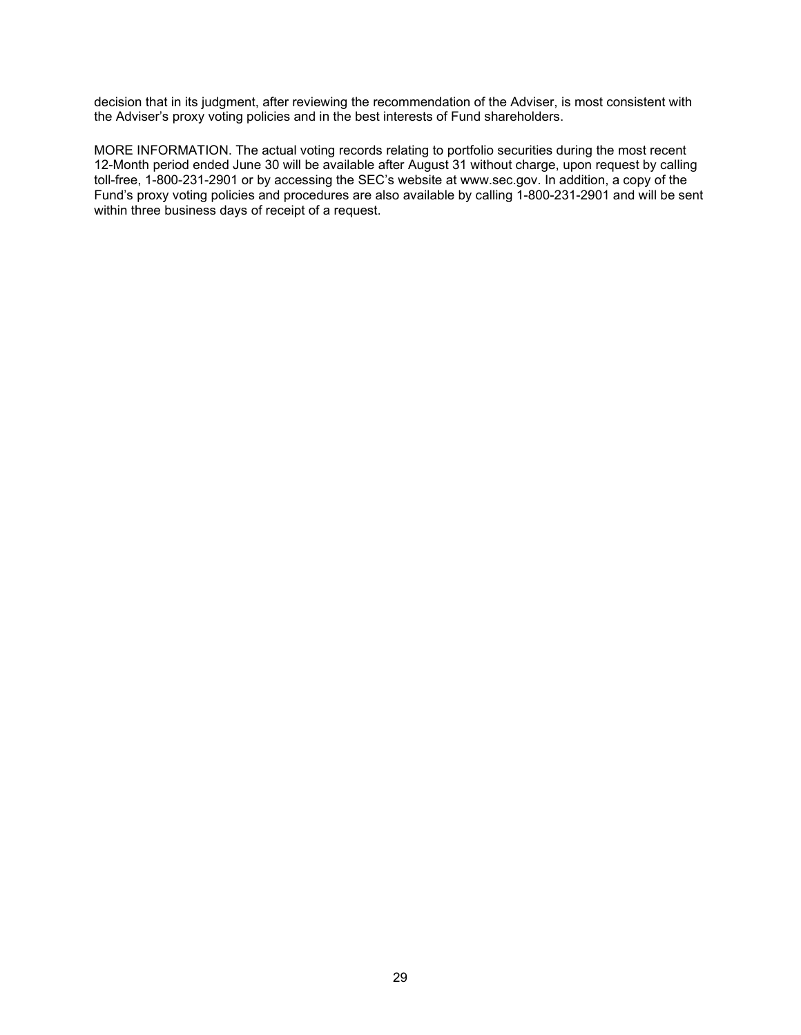decision that in its judgment, after reviewing the recommendation of the Adviser, is most consistent with the Adviser's proxy voting policies and in the best interests of Fund shareholders.

MORE INFORMATION. The actual voting records relating to portfolio securities during the most recent 12-Month period ended June 30 will be available after August 31 without charge, upon request by calling toll-free, 1-800-231-2901 or by accessing the SEC's website at www.sec.gov. In addition, a copy of the Fund's proxy voting policies and procedures are also available by calling 1-800-231-2901 and will be sent within three business days of receipt of a request.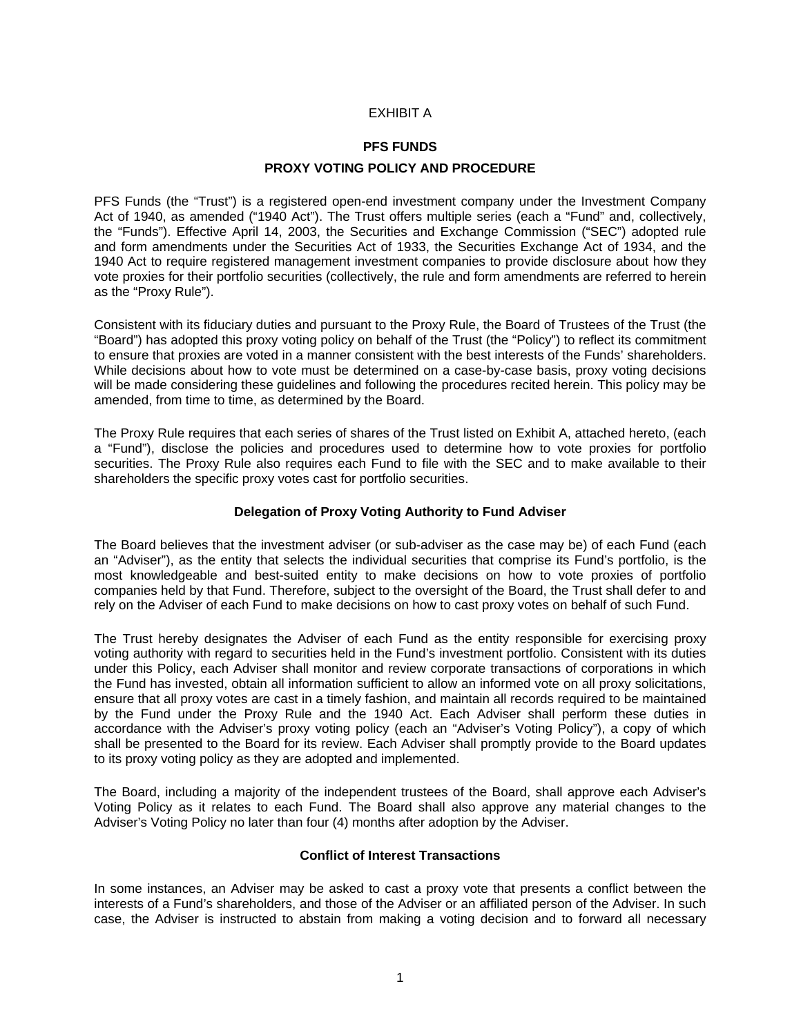# EXHIBIT A

# **PFS FUNDS**

# **PROXY VOTING POLICY AND PROCEDURE**

PFS Funds (the "Trust") is a registered open-end investment company under the Investment Company Act of 1940, as amended ("1940 Act"). The Trust offers multiple series (each a "Fund" and, collectively, the "Funds"). Effective April 14, 2003, the Securities and Exchange Commission ("SEC") adopted rule and form amendments under the Securities Act of 1933, the Securities Exchange Act of 1934, and the 1940 Act to require registered management investment companies to provide disclosure about how they vote proxies for their portfolio securities (collectively, the rule and form amendments are referred to herein as the "Proxy Rule").

Consistent with its fiduciary duties and pursuant to the Proxy Rule, the Board of Trustees of the Trust (the "Board") has adopted this proxy voting policy on behalf of the Trust (the "Policy") to reflect its commitment to ensure that proxies are voted in a manner consistent with the best interests of the Funds' shareholders. While decisions about how to vote must be determined on a case-by-case basis, proxy voting decisions will be made considering these guidelines and following the procedures recited herein. This policy may be amended, from time to time, as determined by the Board.

The Proxy Rule requires that each series of shares of the Trust listed on Exhibit A, attached hereto, (each a "Fund"), disclose the policies and procedures used to determine how to vote proxies for portfolio securities. The Proxy Rule also requires each Fund to file with the SEC and to make available to their shareholders the specific proxy votes cast for portfolio securities.

# **Delegation of Proxy Voting Authority to Fund Adviser**

The Board believes that the investment adviser (or sub-adviser as the case may be) of each Fund (each an "Adviser"), as the entity that selects the individual securities that comprise its Fund's portfolio, is the most knowledgeable and best-suited entity to make decisions on how to vote proxies of portfolio companies held by that Fund. Therefore, subject to the oversight of the Board, the Trust shall defer to and rely on the Adviser of each Fund to make decisions on how to cast proxy votes on behalf of such Fund.

The Trust hereby designates the Adviser of each Fund as the entity responsible for exercising proxy voting authority with regard to securities held in the Fund's investment portfolio. Consistent with its duties under this Policy, each Adviser shall monitor and review corporate transactions of corporations in which the Fund has invested, obtain all information sufficient to allow an informed vote on all proxy solicitations, ensure that all proxy votes are cast in a timely fashion, and maintain all records required to be maintained by the Fund under the Proxy Rule and the 1940 Act. Each Adviser shall perform these duties in accordance with the Adviser's proxy voting policy (each an "Adviser's Voting Policy"), a copy of which shall be presented to the Board for its review. Each Adviser shall promptly provide to the Board updates to its proxy voting policy as they are adopted and implemented.

The Board, including a majority of the independent trustees of the Board, shall approve each Adviser's Voting Policy as it relates to each Fund. The Board shall also approve any material changes to the Adviser's Voting Policy no later than four (4) months after adoption by the Adviser.

# **Conflict of Interest Transactions**

In some instances, an Adviser may be asked to cast a proxy vote that presents a conflict between the interests of a Fund's shareholders, and those of the Adviser or an affiliated person of the Adviser. In such case, the Adviser is instructed to abstain from making a voting decision and to forward all necessary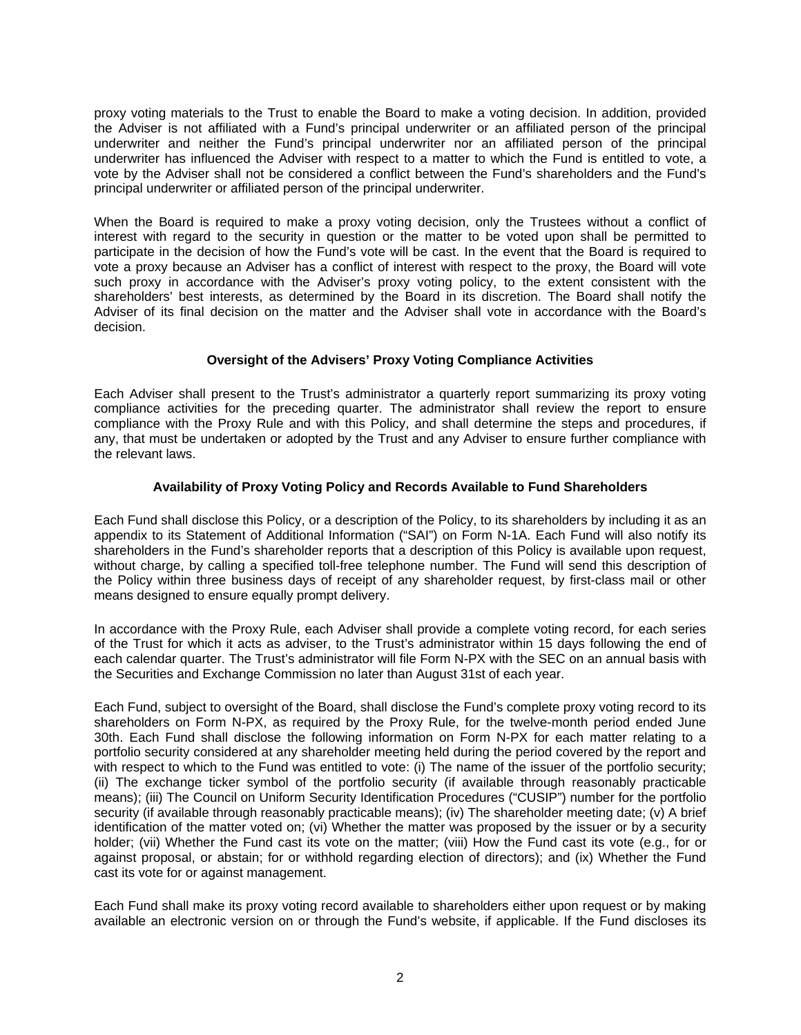proxy voting materials to the Trust to enable the Board to make a voting decision. In addition, provided the Adviser is not affiliated with a Fund's principal underwriter or an affiliated person of the principal underwriter and neither the Fund's principal underwriter nor an affiliated person of the principal underwriter has influenced the Adviser with respect to a matter to which the Fund is entitled to vote, a vote by the Adviser shall not be considered a conflict between the Fund's shareholders and the Fund's principal underwriter or affiliated person of the principal underwriter.

When the Board is required to make a proxy voting decision, only the Trustees without a conflict of interest with regard to the security in question or the matter to be voted upon shall be permitted to participate in the decision of how the Fund's vote will be cast. In the event that the Board is required to vote a proxy because an Adviser has a conflict of interest with respect to the proxy, the Board will vote such proxy in accordance with the Adviser's proxy voting policy, to the extent consistent with the shareholders' best interests, as determined by the Board in its discretion. The Board shall notify the Adviser of its final decision on the matter and the Adviser shall vote in accordance with the Board's decision.

# **Oversight of the Advisers' Proxy Voting Compliance Activities**

Each Adviser shall present to the Trust's administrator a quarterly report summarizing its proxy voting compliance activities for the preceding quarter. The administrator shall review the report to ensure compliance with the Proxy Rule and with this Policy, and shall determine the steps and procedures, if any, that must be undertaken or adopted by the Trust and any Adviser to ensure further compliance with the relevant laws.

# **Availability of Proxy Voting Policy and Records Available to Fund Shareholders**

Each Fund shall disclose this Policy, or a description of the Policy, to its shareholders by including it as an appendix to its Statement of Additional Information ("SAI") on Form N-1A. Each Fund will also notify its shareholders in the Fund's shareholder reports that a description of this Policy is available upon request, without charge, by calling a specified toll-free telephone number. The Fund will send this description of the Policy within three business days of receipt of any shareholder request, by first-class mail or other means designed to ensure equally prompt delivery.

In accordance with the Proxy Rule, each Adviser shall provide a complete voting record, for each series of the Trust for which it acts as adviser, to the Trust's administrator within 15 days following the end of each calendar quarter. The Trust's administrator will file Form N-PX with the SEC on an annual basis with the Securities and Exchange Commission no later than August 31st of each year.

Each Fund, subject to oversight of the Board, shall disclose the Fund's complete proxy voting record to its shareholders on Form N-PX, as required by the Proxy Rule, for the twelve-month period ended June 30th. Each Fund shall disclose the following information on Form N-PX for each matter relating to a portfolio security considered at any shareholder meeting held during the period covered by the report and with respect to which to the Fund was entitled to vote: (i) The name of the issuer of the portfolio security; (ii) The exchange ticker symbol of the portfolio security (if available through reasonably practicable means); (iii) The Council on Uniform Security Identification Procedures ("CUSIP") number for the portfolio security (if available through reasonably practicable means); (iv) The shareholder meeting date; (v) A brief identification of the matter voted on; (vi) Whether the matter was proposed by the issuer or by a security holder; (vii) Whether the Fund cast its vote on the matter; (viii) How the Fund cast its vote (e.g., for or against proposal, or abstain; for or withhold regarding election of directors); and (ix) Whether the Fund cast its vote for or against management.

Each Fund shall make its proxy voting record available to shareholders either upon request or by making available an electronic version on or through the Fund's website, if applicable. If the Fund discloses its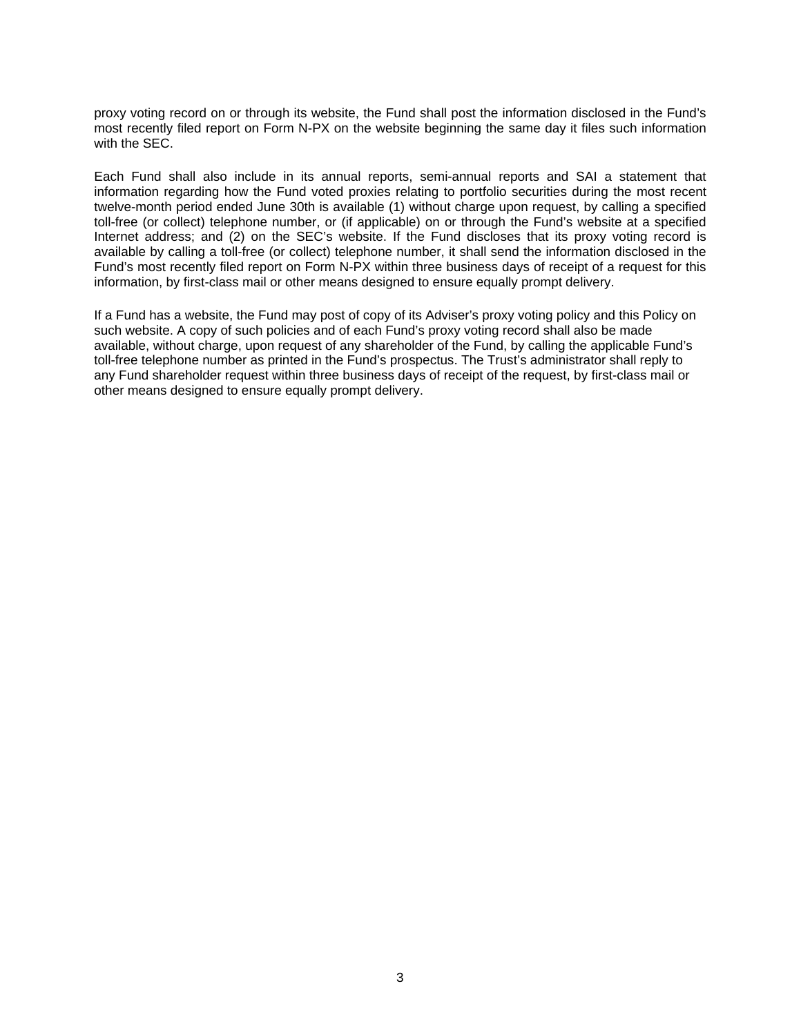proxy voting record on or through its website, the Fund shall post the information disclosed in the Fund's most recently filed report on Form N-PX on the website beginning the same day it files such information with the SEC.

Each Fund shall also include in its annual reports, semi-annual reports and SAI a statement that information regarding how the Fund voted proxies relating to portfolio securities during the most recent twelve-month period ended June 30th is available (1) without charge upon request, by calling a specified toll-free (or collect) telephone number, or (if applicable) on or through the Fund's website at a specified Internet address; and (2) on the SEC's website. If the Fund discloses that its proxy voting record is available by calling a toll-free (or collect) telephone number, it shall send the information disclosed in the Fund's most recently filed report on Form N-PX within three business days of receipt of a request for this information, by first-class mail or other means designed to ensure equally prompt delivery.

If a Fund has a website, the Fund may post of copy of its Adviser's proxy voting policy and this Policy on such website. A copy of such policies and of each Fund's proxy voting record shall also be made available, without charge, upon request of any shareholder of the Fund, by calling the applicable Fund's toll-free telephone number as printed in the Fund's prospectus. The Trust's administrator shall reply to any Fund shareholder request within three business days of receipt of the request, by first-class mail or other means designed to ensure equally prompt delivery.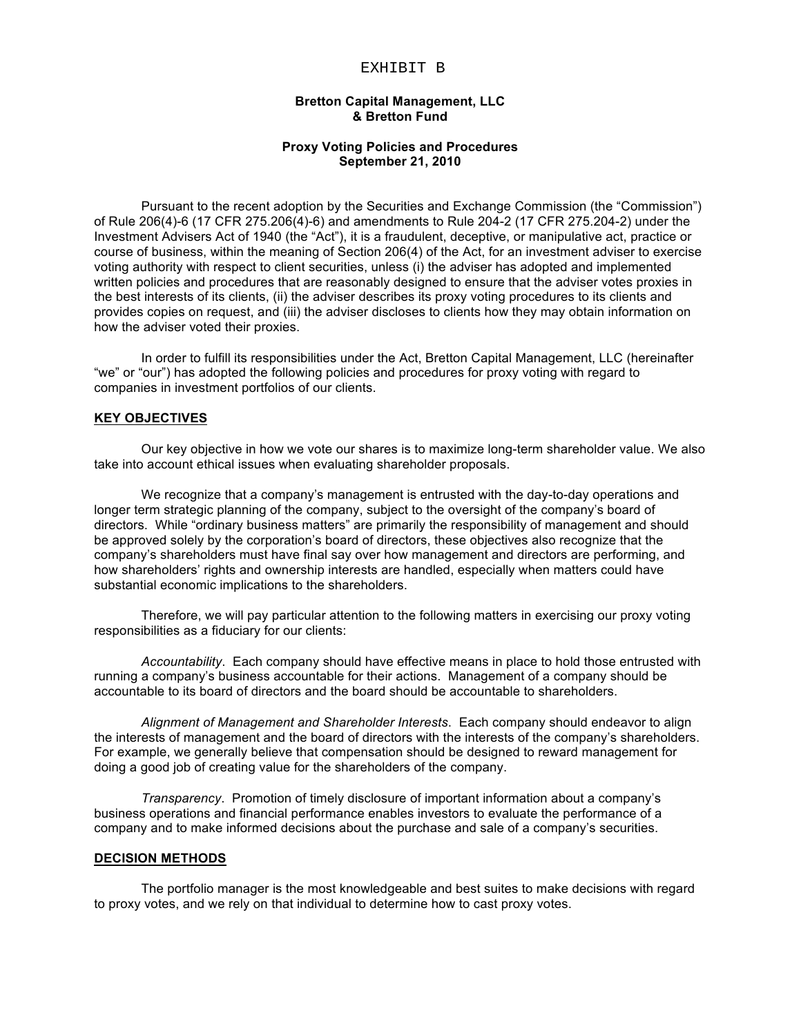## EXHIBIT B

# **Bretton Capital Management, LLC & Bretton Fund**

# **Proxy Voting Policies and Procedures September 21, 2010**

Pursuant to the recent adoption by the Securities and Exchange Commission (the "Commission") of Rule 206(4)-6 (17 CFR 275.206(4)-6) and amendments to Rule 204-2 (17 CFR 275.204-2) under the Investment Advisers Act of 1940 (the "Act"), it is a fraudulent, deceptive, or manipulative act, practice or course of business, within the meaning of Section 206(4) of the Act, for an investment adviser to exercise voting authority with respect to client securities, unless (i) the adviser has adopted and implemented written policies and procedures that are reasonably designed to ensure that the adviser votes proxies in the best interests of its clients, (ii) the adviser describes its proxy voting procedures to its clients and provides copies on request, and (iii) the adviser discloses to clients how they may obtain information on how the adviser voted their proxies.

In order to fulfill its responsibilities under the Act, Bretton Capital Management, LLC (hereinafter "we" or "our") has adopted the following policies and procedures for proxy voting with regard to companies in investment portfolios of our clients.

### **KEY OBJECTIVES**

Our key objective in how we vote our shares is to maximize long-term shareholder value. We also take into account ethical issues when evaluating shareholder proposals.

We recognize that a company's management is entrusted with the day-to-day operations and longer term strategic planning of the company, subject to the oversight of the company's board of directors. While "ordinary business matters" are primarily the responsibility of management and should be approved solely by the corporation's board of directors, these objectives also recognize that the company's shareholders must have final say over how management and directors are performing, and how shareholders' rights and ownership interests are handled, especially when matters could have substantial economic implications to the shareholders.

Therefore, we will pay particular attention to the following matters in exercising our proxy voting responsibilities as a fiduciary for our clients:

*Accountability*. Each company should have effective means in place to hold those entrusted with running a company's business accountable for their actions. Management of a company should be accountable to its board of directors and the board should be accountable to shareholders.

*Alignment of Management and Shareholder Interests*. Each company should endeavor to align the interests of management and the board of directors with the interests of the company's shareholders. For example, we generally believe that compensation should be designed to reward management for doing a good job of creating value for the shareholders of the company.

*Transparency*. Promotion of timely disclosure of important information about a company's business operations and financial performance enables investors to evaluate the performance of a company and to make informed decisions about the purchase and sale of a company's securities.

### **DECISION METHODS**

The portfolio manager is the most knowledgeable and best suites to make decisions with regard to proxy votes, and we rely on that individual to determine how to cast proxy votes.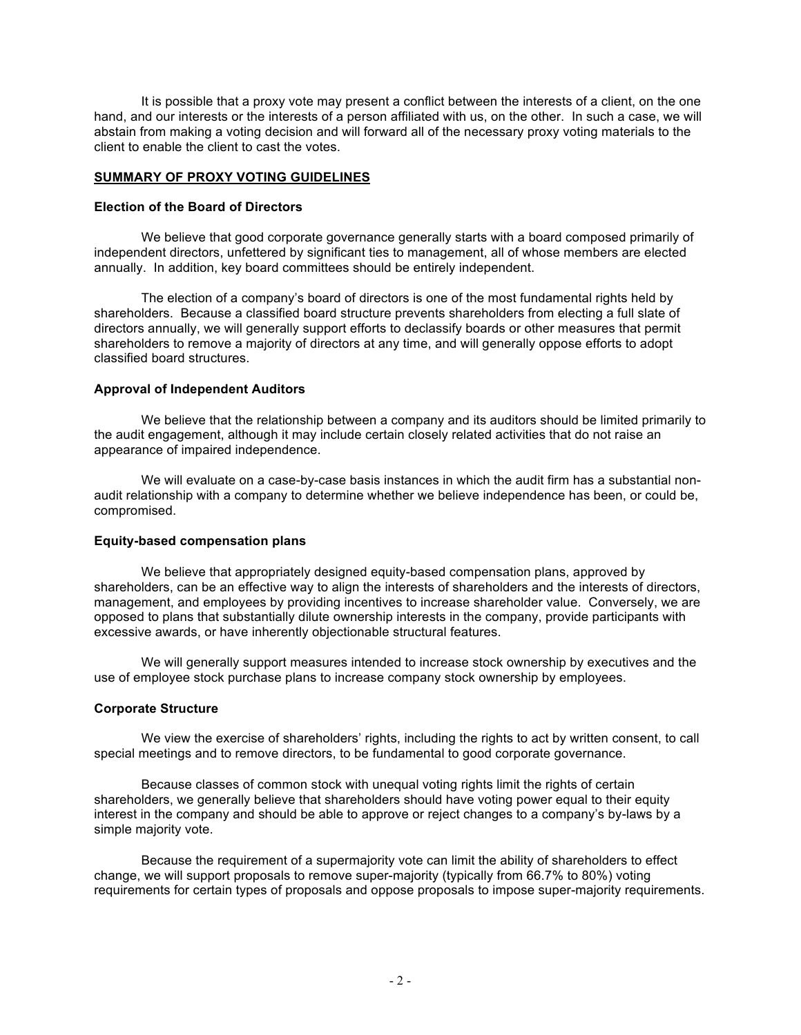It is possible that a proxy vote may present a conflict between the interests of a client, on the one hand, and our interests or the interests of a person affiliated with us, on the other. In such a case, we will abstain from making a voting decision and will forward all of the necessary proxy voting materials to the client to enable the client to cast the votes.

# **SUMMARY OF PROXY VOTING GUIDELINES**

# **Election of the Board of Directors**

We believe that good corporate governance generally starts with a board composed primarily of independent directors, unfettered by significant ties to management, all of whose members are elected annually. In addition, key board committees should be entirely independent.

The election of a company's board of directors is one of the most fundamental rights held by shareholders. Because a classified board structure prevents shareholders from electing a full slate of directors annually, we will generally support efforts to declassify boards or other measures that permit shareholders to remove a majority of directors at any time, and will generally oppose efforts to adopt classified board structures.

# **Approval of Independent Auditors**

We believe that the relationship between a company and its auditors should be limited primarily to the audit engagement, although it may include certain closely related activities that do not raise an appearance of impaired independence.

We will evaluate on a case-by-case basis instances in which the audit firm has a substantial nonaudit relationship with a company to determine whether we believe independence has been, or could be, compromised.

# **Equity-based compensation plans**

We believe that appropriately designed equity-based compensation plans, approved by shareholders, can be an effective way to align the interests of shareholders and the interests of directors, management, and employees by providing incentives to increase shareholder value. Conversely, we are opposed to plans that substantially dilute ownership interests in the company, provide participants with excessive awards, or have inherently objectionable structural features.

We will generally support measures intended to increase stock ownership by executives and the use of employee stock purchase plans to increase company stock ownership by employees.

# **Corporate Structure**

We view the exercise of shareholders' rights, including the rights to act by written consent, to call special meetings and to remove directors, to be fundamental to good corporate governance.

Because classes of common stock with unequal voting rights limit the rights of certain shareholders, we generally believe that shareholders should have voting power equal to their equity interest in the company and should be able to approve or reject changes to a company's by-laws by a simple majority vote.

Because the requirement of a supermajority vote can limit the ability of shareholders to effect change, we will support proposals to remove super-majority (typically from 66.7% to 80%) voting requirements for certain types of proposals and oppose proposals to impose super-majority requirements.